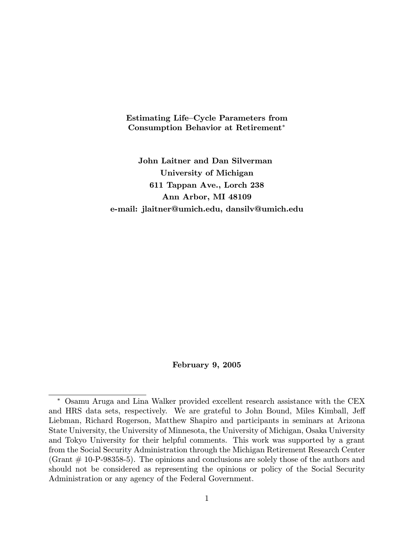Estimating Life—Cycle Parameters from Consumption Behavior at Retirement∗

John Laitner and Dan Silverman University of Michigan 611 Tappan Ave., Lorch 238 Ann Arbor, MI 48109 e-mail: jlaitner@umich.edu, dansilv@umich.edu

## February 9, 2005

<sup>∗</sup> Osamu Aruga and Lina Walker provided excellent research assistance with the CEX and HRS data sets, respectively. We are grateful to John Bound, Miles Kimball, Jeff Liebman, Richard Rogerson, Matthew Shapiro and participants in seminars at Arizona State University, the University of Minnesota, the University of Michigan, Osaka University and Tokyo University for their helpful comments. This work was supported by a grant from the Social Security Administration through the Michigan Retirement Research Center  $(Grant # 10-P-98358-5).$  The opinions and conclusions are solely those of the authors and should not be considered as representing the opinions or policy of the Social Security Administration or any agency of the Federal Government.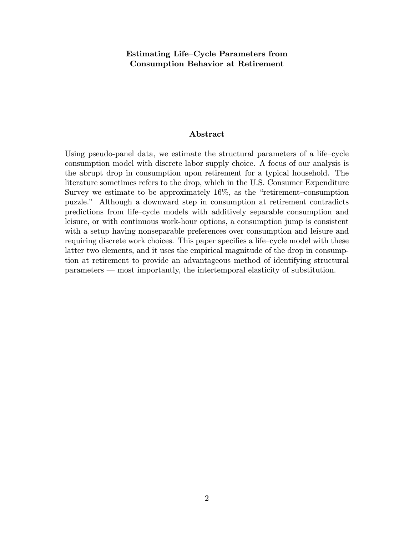Estimating Life—Cycle Parameters from Consumption Behavior at Retirement

# Abstract

Using pseudo-panel data, we estimate the structural parameters of a life—cycle consumption model with discrete labor supply choice. A focus of our analysis is the abrupt drop in consumption upon retirement for a typical household. The literature sometimes refers to the drop, which in the U.S. Consumer Expenditure Survey we estimate to be approximately 16%, as the "retirement—consumption puzzle." Although a downward step in consumption at retirement contradicts predictions from life—cycle models with additively separable consumption and leisure, or with continuous work-hour options, a consumption jump is consistent with a setup having nonseparable preferences over consumption and leisure and requiring discrete work choices. This paper specifies a life—cycle model with these latter two elements, and it uses the empirical magnitude of the drop in consumption at retirement to provide an advantageous method of identifying structural parameters – most importantly, the intertemporal elasticity of substitution.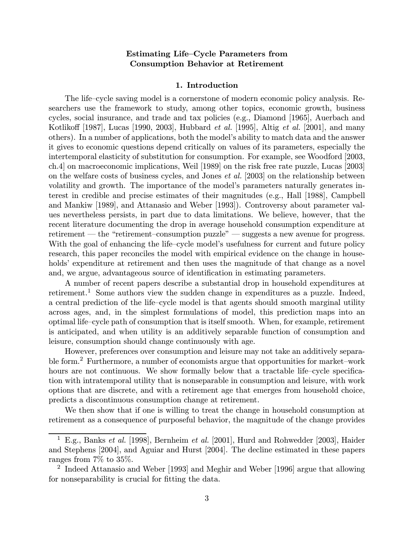# Estimating Life—Cycle Parameters from Consumption Behavior at Retirement

#### 1. Introduction

The life—cycle saving model is a cornerstone of modern economic policy analysis. Researchers use the framework to study, among other topics, economic growth, business cycles, social insurance, and trade and tax policies (e.g., Diamond [1965], Auerbach and Kotlikoff [1987], Lucas [1990, 2003], Hubbard et al. [1995], Altig et al. [2001], and many others). In a number of applications, both the model's ability to match data and the answer it gives to economic questions depend critically on values of its parameters, especially the intertemporal elasticity of substitution for consumption. For example, see Woodford [2003, ch.4] on macroeconomic implications, Weil [1989] on the risk free rate puzzle, Lucas [2003] on the welfare costs of business cycles, and Jones et al. [2003] on the relationship between volatility and growth. The importance of the model's parameters naturally generates interest in credible and precise estimates of their magnitudes (e.g., Hall [1988], Campbell and Mankiw [1989], and Attanasio and Weber [1993]). Controversy about parameter values nevertheless persists, in part due to data limitations. We believe, however, that the recent literature documenting the drop in average household consumption expenditure at retirement — the "retirement-consumption puzzle" — suggests a new avenue for progress. With the goal of enhancing the life–cycle model's usefulness for current and future policy research, this paper reconciles the model with empirical evidence on the change in households' expenditure at retirement and then uses the magnitude of that change as a novel and, we argue, advantageous source of identification in estimating parameters.

A number of recent papers describe a substantial drop in household expenditures at retirement.<sup>1</sup> Some authors view the sudden change in expenditures as a puzzle. Indeed, a central prediction of the life—cycle model is that agents should smooth marginal utility across ages, and, in the simplest formulations of model, this prediction maps into an optimal life—cycle path of consumption that is itself smooth. When, for example, retirement is anticipated, and when utility is an additively separable function of consumption and leisure, consumption should change continuously with age.

However, preferences over consumption and leisure may not take an additively separable form.<sup>2</sup> Furthermore, a number of economists argue that opportunities for market-work hours are not continuous. We show formally below that a tractable life–cycle specification with intratemporal utility that is nonseparable in consumption and leisure, with work options that are discrete, and with a retirement age that emerges from household choice, predicts a discontinuous consumption change at retirement.

We then show that if one is willing to treat the change in household consumption at retirement as a consequence of purposeful behavior, the magnitude of the change provides

<sup>&</sup>lt;sup>1</sup> E.g., Banks et al. [1998], Bernheim et al. [2001], Hurd and Rohwedder [2003], Haider and Stephens [2004], and Aguiar and Hurst [2004]. The decline estimated in these papers ranges from 7% to 35%.

<sup>&</sup>lt;sup>2</sup> Indeed Attanasio and Weber [1993] and Meghir and Weber [1996] argue that allowing for nonseparability is crucial for fitting the data.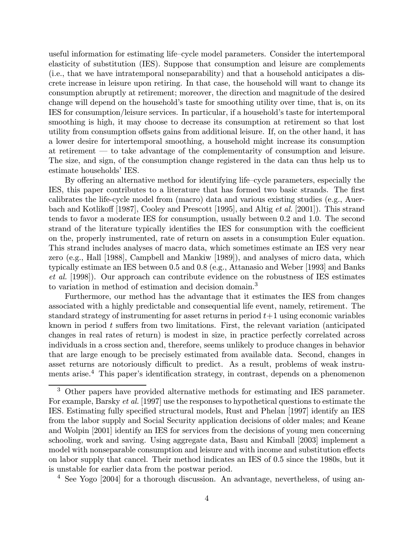useful information for estimating life—cycle model parameters. Consider the intertemporal elasticity of substitution (IES). Suppose that consumption and leisure are complements (i.e., that we have intratemporal nonseparability) and that a household anticipates a discrete increase in leisure upon retiring. In that case, the household will want to change its consumption abruptly at retirement; moreover, the direction and magnitude of the desired change will depend on the household's taste for smoothing utility over time, that is, on its IES for consumption/leisure services. In particular, if a household's taste for intertemporal smoothing is high, it may choose to decrease its consumption at retirement so that lost utility from consumption offsets gains from additional leisure. If, on the other hand, it has a lower desire for intertemporal smoothing, a household might increase its consumption at retirement – to take advantage of the complementarity of consumption and leisure. The size, and sign, of the consumption change registered in the data can thus help us to estimate households' IES.

By offering an alternative method for identifying life—cycle parameters, especially the IES, this paper contributes to a literature that has formed two basic strands. The first calibrates the life-cycle model from (macro) data and various existing studies (e.g., Auerbach and Kotlikoff [1987], Cooley and Prescott [1995], and Altig et al. [2001]). This strand tends to favor a moderate IES for consumption, usually between 0.2 and 1.0. The second strand of the literature typically identifies the IES for consumption with the coefficient on the, properly instrumented, rate of return on assets in a consumption Euler equation. This strand includes analyses of macro data, which sometimes estimate an IES very near zero (e.g., Hall [1988], Campbell and Mankiw [1989]), and analyses of micro data, which typically estimate an IES between 0.5 and 0.8 (e.g., Attanasio and Weber [1993] and Banks et al. [1998]). Our approach can contribute evidence on the robustness of IES estimates to variation in method of estimation and decision domain.<sup>3</sup>

Furthermore, our method has the advantage that it estimates the IES from changes associated with a highly predictable and consequential life event, namely, retirement. The standard strategy of instrumenting for asset returns in period  $t+1$  using economic variables known in period t suffers from two limitations. First, the relevant variation (anticipated changes in real rates of return) is modest in size, in practice perfectly correlated across individuals in a cross section and, therefore, seems unlikely to produce changes in behavior that are large enough to be precisely estimated from available data. Second, changes in asset returns are notoriously difficult to predict. As a result, problems of weak instruments arise.<sup>4</sup> This paper's identification strategy, in contrast, depends on a phenomenon

<sup>4</sup> See Yogo [2004] for a thorough discussion. An advantage, nevertheless, of using an-

<sup>3</sup> Other papers have provided alternative methods for estimating and IES parameter. For example, Barsky et al. [1997] use the responses to hypothetical questions to estimate the IES. Estimating fully specified structural models, Rust and Phelan [1997] identify an IES from the labor supply and Social Security application decisions of older males; and Keane and Wolpin [2001] identify an IES for services from the decisions of young men concerning schooling, work and saving. Using aggregate data, Basu and Kimball [2003] implement a model with nonseparable consumption and leisure and with income and substitution effects on labor supply that cancel. Their method indicates an IES of 0.5 since the 1980s, but it is unstable for earlier data from the postwar period.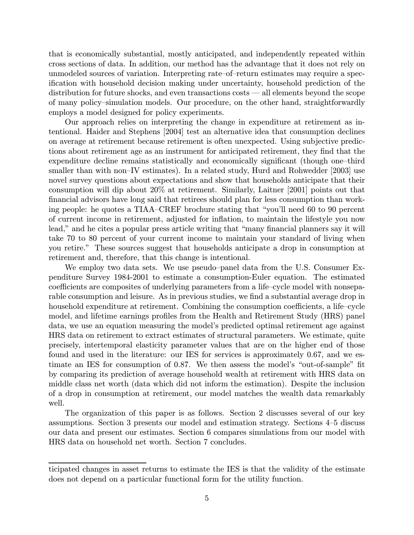that is economically substantial, mostly anticipated, and independently repeated within cross sections of data. In addition, our method has the advantage that it does not rely on unmodeled sources of variation. Interpreting rate—of—return estimates may require a specification with household decision making under uncertainty, household prediction of the distribution for future shocks, and even transactions costs – all elements beyond the scope of many policy—simulation models. Our procedure, on the other hand, straightforwardly employs a model designed for policy experiments.

Our approach relies on interpreting the change in expenditure at retirement as intentional. Haider and Stephens [2004] test an alternative idea that consumption declines on average at retirement because retirement is often unexpected. Using subjective predictions about retirement age as an instrument for anticipated retirement, they find that the expenditure decline remains statistically and economically significant (though one—third smaller than with non—IV estimates). In a related study, Hurd and Rohwedder [2003] use novel survey questions about expectations and show that households anticipate that their consumption will dip about 20% at retirement. Similarly, Laitner [2001] points out that financial advisors have long said that retirees should plan for less consumption than working people: he quotes a TIAA—CREF brochure stating that "you'll need 60 to 90 percent of current income in retirement, adjusted for inflation, to maintain the lifestyle you now lead," and he cites a popular press article writing that "many financial planners say it will take 70 to 80 percent of your current income to maintain your standard of living when you retire." These sources suggest that households anticipate a drop in consumption at retirement and, therefore, that this change is intentional.

We employ two data sets. We use pseudo—panel data from the U.S. Consumer Expenditure Survey 1984-2001 to estimate a consumption-Euler equation. The estimated coefficients are composites of underlying parameters from a life—cycle model with nonseparable consumption and leisure. As in previous studies, we find a substantial average drop in household expenditure at retirement. Combining the consumption coefficients, a life–cycle model, and lifetime earnings profiles from the Health and Retirement Study (HRS) panel data, we use an equation measuring the model's predicted optimal retirement age against HRS data on retirement to extract estimates of structural parameters. We estimate, quite precisely, intertemporal elasticity parameter values that are on the higher end of those found and used in the literature: our IES for services is approximately 0.67, and we estimate an IES for consumption of 0.87. We then assess the model's "out-of-sample" fit by comparing its prediction of average household wealth at retirement with HRS data on middle class net worth (data which did not inform the estimation). Despite the inclusion of a drop in consumption at retirement, our model matches the wealth data remarkably well.

The organization of this paper is as follows. Section 2 discusses several of our key assumptions. Section 3 presents our model and estimation strategy. Sections 4—5 discuss our data and present our estimates. Section 6 compares simulations from our model with HRS data on household net worth. Section 7 concludes.

ticipated changes in asset returns to estimate the IES is that the validity of the estimate does not depend on a particular functional form for the utility function.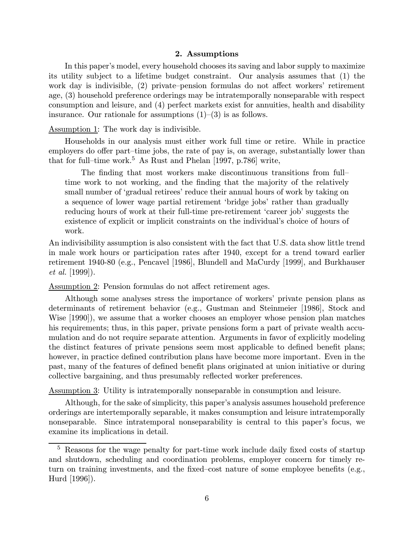## 2. Assumptions

In this paper's model, every household chooses its saving and labor supply to maximize its utility subject to a lifetime budget constraint. Our analysis assumes that (1) the work day is indivisible, (2) private—pension formulas do not affect workers' retirement age, (3) household preference orderings may be intratemporally nonseparable with respect consumption and leisure, and (4) perfect markets exist for annuities, health and disability insurance. Our rationale for assumptions  $(1)$ – $(3)$  is as follows.

Assumption 1: The work day is indivisible.

Households in our analysis must either work full time or retire. While in practice employers do offer part—time jobs, the rate of pay is, on average, substantially lower than that for full–time work.<sup>5</sup> As Rust and Phelan [1997, p.786] write,

The finding that most workers make discontinuous transitions from full time work to not working, and the finding that the majority of the relatively small number of 'gradual retirees' reduce their annual hours of work by taking on a sequence of lower wage partial retirement 'bridge jobs' rather than gradually reducing hours of work at their full-time pre-retirement 'career job' suggests the existence of explicit or implicit constraints on the individual's choice of hours of work.

An indivisibility assumption is also consistent with the fact that U.S. data show little trend in male work hours or participation rates after 1940, except for a trend toward earlier retirement 1940-80 (e.g., Pencavel [1986], Blundell and MaCurdy [1999], and Burkhauser et al. [1999]).

Assumption 2: Pension formulas do not affect retirement ages.

Although some analyses stress the importance of workers' private pension plans as determinants of retirement behavior (e.g., Gustman and Steinmeier [1986], Stock and Wise [1990]), we assume that a worker chooses an employer whose pension plan matches his requirements; thus, in this paper, private pensions form a part of private wealth accumulation and do not require separate attention. Arguments in favor of explicitly modeling the distinct features of private pensions seem most applicable to defined benefit plans; however, in practice defined contribution plans have become more important. Even in the past, many of the features of defined benefit plans originated at union initiative or during collective bargaining, and thus presumably reflected worker preferences.

Assumption 3: Utility is intratemporally nonseparable in consumption and leisure.

Although, for the sake of simplicity, this paper's analysis assumes household preference orderings are intertemporally separable, it makes consumption and leisure intratemporally nonseparable. Since intratemporal nonseparability is central to this paper's focus, we examine its implications in detail.

<sup>5</sup> Reasons for the wage penalty for part-time work include daily fixed costs of startup and shutdown, scheduling and coordination problems, employer concern for timely return on training investments, and the fixed—cost nature of some employee benefits (e.g., Hurd [1996]).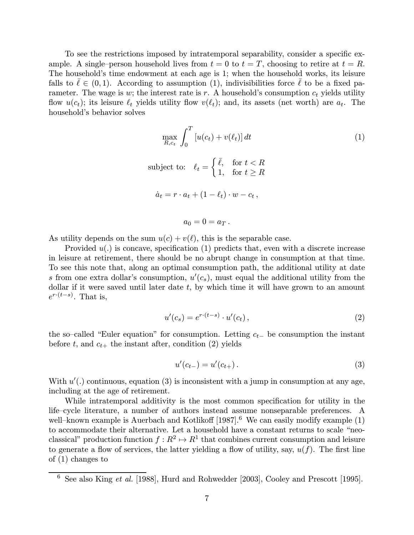To see the restrictions imposed by intratemporal separability, consider a specific example. A single–person household lives from  $t = 0$  to  $t = T$ , choosing to retire at  $t = R$ . The household's time endowment at each age is 1; when the household works, its leisure falls to  $\ell \in (0,1)$ . According to assumption (1), indivisibilities force  $\ell$  to be a fixed parameter. The wage is w; the interest rate is r. A household's consumption  $c_t$  yields utility flow  $u(c_t)$ ; its leisure  $\ell_t$  yields utility flow  $v(\ell_t)$ ; and, its assets (net worth) are  $a_t$ . The household's behavior solves

$$
\max_{R,c_t} \int_0^T \left[ u(c_t) + v(\ell_t) \right] dt
$$
\nsubject to:

\n
$$
\ell_t = \begin{cases} \bar{\ell}, & \text{for } t < R \\ 1, & \text{for } t \geq R \end{cases}
$$
\n
$$
\dot{a}_t = r \cdot a_t + (1 - \ell_t) \cdot w - c_t,
$$
\n
$$
a_0 = 0 = a_T.
$$
\n(1)

As utility depends on the sum  $u(c) + v(\ell)$ , this is the separable case.

Provided  $u(.)$  is concave, specification  $(1)$  predicts that, even with a discrete increase in leisure at retirement, there should be no abrupt change in consumption at that time. To see this note that, along an optimal consumption path, the additional utility at date s from one extra dollar's consumption,  $u'(c_s)$ , must equal the additional utility from the dollar if it were saved until later date  $t$ , by which time it will have grown to an amount  $e^{r \cdot (t-s)}$ . That is,

$$
u'(c_s) = e^{r \cdot (t-s)} \cdot u'(c_t), \qquad (2)
$$

the so–called "Euler equation" for consumption. Letting  $c_{t-}$  be consumption the instant before t, and  $c_{t+}$  the instant after, condition (2) yields

$$
u'(c_{t-}) = u'(c_{t+}).
$$
\n(3)

With  $u'$ .) continuous, equation (3) is inconsistent with a jump in consumption at any age, including at the age of retirement.

While intratemporal additivity is the most common specification for utility in the life—cycle literature, a number of authors instead assume nonseparable preferences. A well–known example is Auerbach and Kotlikoff  $[1987]$ .<sup>6</sup> We can easily modify example  $(1)$ to accommodate their alternative. Let a household have a constant returns to scale "neoclassical" production function  $f : \mathbb{R}^2 \to \mathbb{R}^1$  that combines current consumption and leisure to generate a flow of services, the latter yielding a flow of utility, say,  $u(f)$ . The first line of (1) changes to

 $6$  See also King *et al.* [1988], Hurd and Rohwedder [2003], Cooley and Prescott [1995].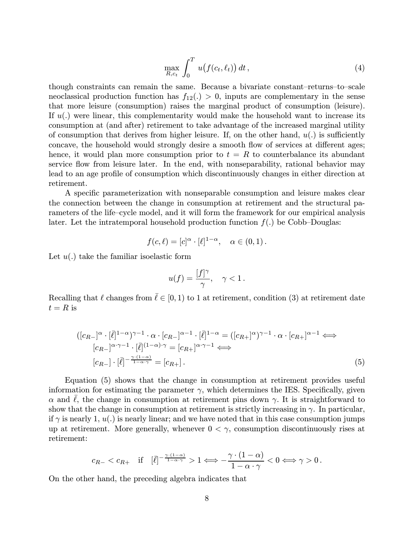$$
\max_{R,c_t} \int_0^T u(f(c_t,\ell_t)) dt,
$$
\n(4)

though constraints can remain the same. Because a bivariate constant—returns—to—scale neoclassical production function has  $f_{12}() > 0$ , inputs are complementary in the sense that more leisure (consumption) raises the marginal product of consumption (leisure). If  $u(.)$  were linear, this complementarity would make the household want to increase its consumption at (and after) retirement to take advantage of the increased marginal utility of consumption that derives from higher leisure. If, on the other hand,  $u(.)$  is sufficiently concave, the household would strongly desire a smooth flow of services at different ages; hence, it would plan more consumption prior to  $t = R$  to counterbalance its abundant service flow from leisure later. In the end, with nonseparability, rational behavior may lead to an age profile of consumption which discontinuously changes in either direction at retirement.

A specific parameterization with nonseparable consumption and leisure makes clear the connection between the change in consumption at retirement and the structural parameters of the life—cycle model, and it will form the framework for our empirical analysis later. Let the intratemporal household production function  $f(.)$  be Cobb-Douglas:

$$
f(c,\ell) = [c]^{\alpha} \cdot [\ell]^{1-\alpha}, \quad \alpha \in (0,1).
$$

Let  $u(.)$  take the familiar isoelastic form

$$
u(f) = \frac{[f]^\gamma}{\gamma}, \quad \gamma < 1 \, .
$$

Recalling that  $\ell$  changes from  $\overline{\ell} \in [0, 1)$  to 1 at retirement, condition (3) at retirement date  $t = R$  is

$$
([c_{R-}]^{\alpha} \cdot [\bar{\ell}]^{1-\alpha})^{\gamma-1} \cdot \alpha \cdot [c_{R-}]^{\alpha-1} \cdot [\bar{\ell}]^{1-\alpha} = ([c_{R+}]^{\alpha})^{\gamma-1} \cdot \alpha \cdot [c_{R+}]^{\alpha-1} \Longleftrightarrow
$$
  
\n
$$
[c_{R-}]^{\alpha \cdot \gamma-1} \cdot [\bar{\ell}]^{(1-\alpha) \cdot \gamma} = [c_{R+}]^{\alpha \cdot \gamma-1} \Longleftrightarrow
$$
  
\n
$$
[c_{R-}] \cdot [\bar{\ell}]^{-\frac{\gamma \cdot (1-\alpha)}{1-\alpha \cdot \gamma}} = [c_{R+}].
$$
\n(5)

Equation (5) shows that the change in consumption at retirement provides useful information for estimating the parameter  $\gamma$ , which determines the IES. Specifically, given  $\alpha$  and  $\ell$ , the change in consumption at retirement pins down  $\gamma$ . It is straightforward to show that the change in consumption at retirement is strictly increasing in  $\gamma$ . In particular, if  $\gamma$  is nearly 1,  $u(.)$  is nearly linear; and we have noted that in this case consumption jumps up at retirement. More generally, whenever  $0 < \gamma$ , consumption discontinuously rises at retirement:

$$
c_{R-} < c_{R+} \quad \text{if} \quad [\bar{\ell}]^{-\frac{\gamma \cdot (1-\alpha)}{1-\alpha \cdot \gamma}} > 1 \Longleftrightarrow -\frac{\gamma \cdot (1-\alpha)}{1-\alpha \cdot \gamma} < 0 \Longleftrightarrow \gamma > 0 \, .
$$

On the other hand, the preceding algebra indicates that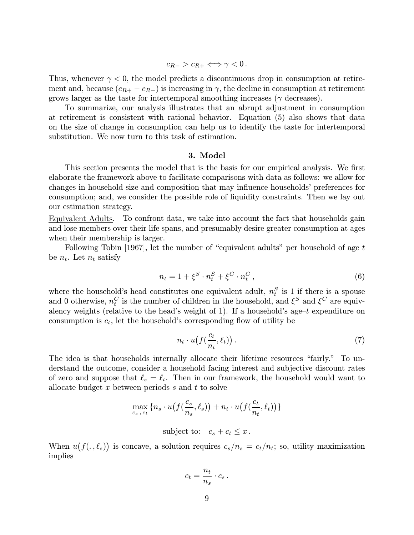$c_{B-} > c_{B+} \Longleftrightarrow \gamma < 0$ .

Thus, whenever  $\gamma < 0$ , the model predicts a discontinuous drop in consumption at retirement and, because  $(c_{R+} - c_{R-})$  is increasing in  $\gamma$ , the decline in consumption at retirement grows larger as the taste for intertemporal smoothing increases ( $\gamma$  decreases).

To summarize, our analysis illustrates that an abrupt adjustment in consumption at retirement is consistent with rational behavior. Equation (5) also shows that data on the size of change in consumption can help us to identify the taste for intertemporal substitution. We now turn to this task of estimation.

#### 3. Model

This section presents the model that is the basis for our empirical analysis. We first elaborate the framework above to facilitate comparisons with data as follows: we allow for changes in household size and composition that may influence households' preferences for consumption; and, we consider the possible role of liquidity constraints. Then we lay out our estimation strategy.

Equivalent Adults. To confront data, we take into account the fact that households gain and lose members over their life spans, and presumably desire greater consumption at ages when their membership is larger.

Following Tobin [1967], let the number of "equivalent adults" per household of age t be  $n_t$ . Let  $n_t$  satisfy

$$
n_t = 1 + \xi^S \cdot n_t^S + \xi^C \cdot n_t^C, \qquad (6)
$$

where the household's head constitutes one equivalent adult,  $n_t^S$  is 1 if there is a spouse and 0 otherwise,  $n_t^C$  is the number of children in the household, and  $\xi^S$  and  $\xi^C$  are equivalency weights (relative to the head's weight of 1). If a household's age- $t$  expenditure on consumption is  $c_t$ , let the household's corresponding flow of utility be

$$
n_t \cdot u\big(f\big(\frac{c_t}{n_t}, \ell_t\big)\big) \,. \tag{7}
$$

The idea is that households internally allocate their lifetime resources "fairly." To understand the outcome, consider a household facing interest and subjective discount rates of zero and suppose that  $\ell_s = \ell_t$ . Then in our framework, the household would want to allocate budget  $x$  between periods  $s$  and  $t$  to solve

$$
\max_{c_s, c_t} \{ n_s \cdot u(f(\frac{c_s}{n_s}, \ell_s)) + n_t \cdot u(f(\frac{c_t}{n_t}, \ell_t)) \}
$$

subject to:  $c_s + c_t \leq x$ .

When  $u(f(.,\ell_s))$  is concave, a solution requires  $c_s/n_s = c_t/n_t$ ; so, utility maximization implies

$$
c_t = \frac{n_t}{n_s} \cdot c_s \,.
$$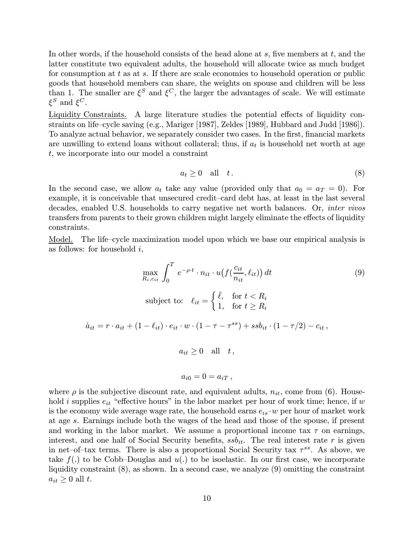In other words, if the household consists of the head alone at  $s$ , five members at  $t$ , and the latter constitute two equivalent adults, the household will allocate twice as much budget for consumption at  $t$  as at  $s$ . If there are scale economies to household operation or public goods that household members can share, the weights on spouse and children will be less than 1. The smaller are  $\xi^S$  and  $\xi^C$ , the larger the advantages of scale. We will estimate  $\xi^S$  and  $\xi^C$ .

Liquidity Constraints. A large literature studies the potential effects of liquidity constraints on life—cycle saving (e.g., Mariger [1987], Zeldes [1989], Hubbard and Judd [1986]). To analyze actual behavior, we separately consider two cases. In the first, financial markets are unwilling to extend loans without collateral; thus, if  $a_t$  is household net worth at age t, we incorporate into our model a constraint

$$
a_t \ge 0 \quad \text{all} \quad t \,. \tag{8}
$$

In the second case, we allow  $a_t$  take any value (provided only that  $a_0 = a_T = 0$ ). For example, it is conceivable that unsecured credit—card debt has, at least in the last several decades, enabled U.S. households to carry negative net worth balances. Or, inter vivos transfers from parents to their grown children might largely eliminate the effects of liquidity constraints.

Model. The life—cycle maximization model upon which we base our empirical analysis is as follows: for household  $i$ ,

$$
\max_{R_i, c_{it}} \int_0^T e^{-\rho \cdot t} \cdot n_{it} \cdot u(f(\frac{c_{it}}{n_{it}}, \ell_{it})) dt
$$
\n
$$
\text{subject to:} \quad \ell_{it} = \begin{cases} \bar{\ell}, & \text{for } t < R_i \\ 1, & \text{for } t \ge R_i \end{cases}
$$
\n
$$
\dot{a}_{it} = r \cdot a_{it} + (1 - \ell_{it}) \cdot e_{it} \cdot w \cdot (1 - \tau - \tau^{ss}) + ssb_{it} \cdot (1 - \tau/2) - c_{it},
$$
\n
$$
a_{it} \ge 0 \quad \text{all} \quad t,
$$
\n
$$
a_{i0} = 0 = a_{iT},
$$
\n
$$
(9)
$$

where  $\rho$  is the subjective discount rate, and equivalent adults,  $n_{it}$ , come from (6). Household i supplies  $e_{it}$  "effective hours" in the labor market per hour of work time; hence, if w is the economy wide average wage rate, the household earns  $e_{is} \cdot w$  per hour of market work at age s. Earnings include both the wages of the head and those of the spouse, if present and working in the labor market. We assume a proportional income tax  $\tau$  on earnings, interest, and one half of Social Security benefits,  $s s b_{it}$ . The real interest rate r is given in net–of–tax terms. There is also a proportional Social Security tax  $\tau^{ss}$ . As above, we take  $f(.)$  to be Cobb-Douglas and  $u(.)$  to be isoelastic. In our first case, we incorporate liquidity constraint (8), as shown. In a second case, we analyze (9) omitting the constraint  $a_{it} \geq 0$  all t.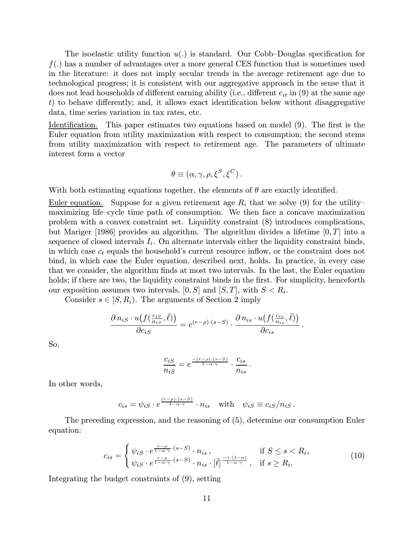The isoelastic utility function  $u(.)$  is standard. Our Cobb-Douglas specification for  $f(.)$  has a number of advantages over a more general CES function that is sometimes used in the literature: it does not imply secular trends in the average retirement age due to technological progress; it is consistent with our aggregative approach in the sense that it does not lead households of different earning ability (i.e., different  $e_{it}$  in (9) at the same age t) to behave differently; and, it allows exact identification below without disaggregative data, time series variation in tax rates, etc.

Identification. This paper estimates two equations based on model (9). The first is the Euler equation from utility maximization with respect to consumption; the second stems from utility maximization with respect to retirement age. The parameters of ultimate interest form a vector

$$
\theta \equiv (\alpha, \gamma, \rho, \xi^S, \xi^C).
$$

With both estimating equations together, the elements of  $\theta$  are exactly identified.

<u>Euler equation.</u> Suppose for a given retirement age  $R_i$  that we solve (9) for the utilitymaximizing life—cycle time path of consumption. We then face a concave maximization problem with a convex constraint set. Liquidity constraint (8) introduces complications, but Mariger [1986] provides an algorithm. The algorithm divides a lifetime  $[0, T]$  into a sequence of closed intervals  $I_i$ . On alternate intervals either the liquidity constraint binds, in which case  $c_t$  equals the household's current resource inflow, or the constraint does not bind, in which case the Euler equation, described next, holds. In practice, in every case that we consider, the algorithm finds at most two intervals. In the last, the Euler equation holds; if there are two, the liquidity constraint binds in the first. For simplicity, henceforth our exposition assumes two intervals,  $[0, S]$  and  $[S, T]$ , with  $S < R_i$ .

Consider  $s \in [S, R_i)$ . The arguments of Section 2 imply

$$
\frac{\partial n_{iS} \cdot u(f(\frac{c_{iS}}{n_{iS}}, \bar{\ell}))}{\partial c_{iS}} = e^{(r-\rho)\cdot (s-S)} \cdot \frac{\partial n_{is} \cdot u(f(\frac{c_{is}}{n_{is}}, \bar{\ell}))}{\partial c_{is}}.
$$

So,

$$
\frac{c_{iS}}{n_{iS}} = e^{\frac{-(r-\rho)\cdot(s-S)}{1-\alpha\cdot\gamma}} \cdot \frac{c_{is}}{n_{is}}.
$$

In other words,

$$
c_{is} = \psi_{iS} \cdot e^{\frac{(r-\rho)\cdot(s-S)}{1-\alpha\cdot\gamma}} \cdot n_{is} \quad \text{with} \quad \psi_{iS} \equiv c_{iS}/n_{iS} \, .
$$

The preceding expression, and the reasoning of (5), determine our consumption Euler equation:

$$
c_{is} = \begin{cases} \psi_{iS} \cdot e^{\frac{r-\rho}{1-\alpha \cdot \gamma} \cdot (s-S)} \cdot n_{is} , & \text{if } S \le s < R_i, \\ \psi_{iS} \cdot e^{\frac{r-\rho}{1-\alpha \cdot \gamma} \cdot (s-S)} \cdot n_{is} \cdot [\bar{\ell}]^{\frac{-\gamma \cdot (1-\alpha)}{1-\alpha \cdot \gamma}} , & \text{if } s \ge R_i. \end{cases} \tag{10}
$$

Integrating the budget constraints of (9), setting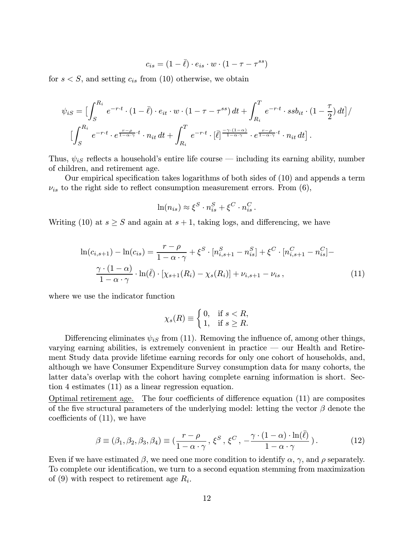$$
c_{is} = (1 - \overline{\ell}) \cdot e_{is} \cdot w \cdot (1 - \tau - \tau^{ss})
$$

for  $s < S$ , and setting  $c_{is}$  from (10) otherwise, we obtain

$$
\psi_{iS} = \Big[\int_{S}^{R_i} e^{-r \cdot t} \cdot (1 - \bar{\ell}) \cdot e_{it} \cdot w \cdot (1 - \tau - \tau^{ss}) dt + \int_{R_i}^{T} e^{-r \cdot t} \cdot s s b_{it} \cdot (1 - \frac{\tau}{2}) dt \Big] /
$$

$$
\Big[\int_{S}^{R_i} e^{-r \cdot t} \cdot e^{\frac{r - \rho}{1 - \alpha \cdot \gamma} \cdot t} \cdot n_{it} dt + \int_{R_i}^{T} e^{-r \cdot t} \cdot [\bar{\ell}]^{\frac{-\gamma \cdot (1 - \alpha)}{1 - \alpha \cdot \gamma}} \cdot e^{\frac{r - \rho}{1 - \alpha \cdot \gamma} \cdot t} \cdot n_{it} dt \Big].
$$

Thus,  $\psi_{iS}$  reflects a household's entire life course — including its earning ability, number of children, and retirement age.

Our empirical specification takes logarithms of both sides of (10) and appends a term  $\nu_{is}$  to the right side to reflect consumption measurement errors. From (6),

$$
\ln(n_{is}) \approx \xi^S \cdot n_{is}^S + \xi^C \cdot n_{is}^C.
$$

Writing (10) at  $s \geq S$  and again at  $s + 1$ , taking logs, and differencing, we have

$$
\ln(c_{i,s+1}) - \ln(c_{is}) = \frac{r - \rho}{1 - \alpha \cdot \gamma} + \xi^S \cdot [n_{i,s+1}^S - n_{is}^S] + \xi^C \cdot [n_{i,s+1}^C - n_{is}^C] - \frac{\gamma \cdot (1 - \alpha)}{1 - \alpha \cdot \gamma} \cdot \ln(\bar{\ell}) \cdot [\chi_{s+1}(R_i) - \chi_s(R_i)] + \nu_{i,s+1} - \nu_{is},
$$
\n(11)

where we use the indicator function

$$
\chi_s(R) \equiv \begin{cases} 0, & \text{if } s < R, \\ 1, & \text{if } s \ge R. \end{cases}
$$

Differencing eliminates  $\psi_{iS}$  from (11). Removing the influence of, among other things, varying earning abilities, is extremely convenient in practice – our Health and Retirement Study data provide lifetime earning records for only one cohort of households, and, although we have Consumer Expenditure Survey consumption data for many cohorts, the latter data's overlap with the cohort having complete earning information is short. Section 4 estimates (11) as a linear regression equation.

Optimal retirement age. The four coefficients of difference equation (11) are composites of the five structural parameters of the underlying model: letting the vector  $\beta$  denote the coefficients of (11), we have

$$
\beta \equiv (\beta_1, \beta_2, \beta_3, \beta_4) \equiv \left(\frac{r - \rho}{1 - \alpha \cdot \gamma}, \xi^S, \xi^C, -\frac{\gamma \cdot (1 - \alpha) \cdot \ln(\bar{\ell})}{1 - \alpha \cdot \gamma}\right). \tag{12}
$$

Even if we have estimated  $\beta$ , we need one more condition to identify  $\alpha$ ,  $\gamma$ , and  $\rho$  separately. To complete our identification, we turn to a second equation stemming from maximization of (9) with respect to retirement age  $R_i$ .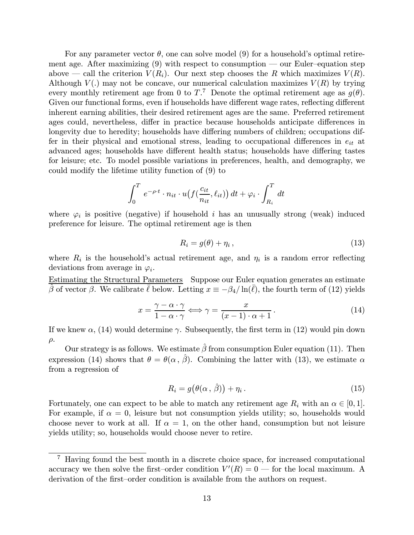For any parameter vector  $\theta$ , one can solve model (9) for a household's optimal retirement age. After maximizing  $(9)$  with respect to consumption — our Euler-equation step above – call the criterion  $V(R_i)$ . Our next step chooses the R which maximizes  $V(R)$ . Although  $V(.)$  may not be concave, our numerical calculation maximizes  $V(R)$  by trying every monthly retirement age from 0 to  $T<sup>7</sup>$ . Denote the optimal retirement age as  $g(\theta)$ . Given our functional forms, even if households have different wage rates, reflecting different inherent earning abilities, their desired retirement ages are the same. Preferred retirement ages could, nevertheless, differ in practice because households anticipate differences in longevity due to heredity; households have differing numbers of children; occupations differ in their physical and emotional stress, leading to occupational differences in  $e_{it}$  at advanced ages; households have different health status; households have differing tastes for leisure; etc. To model possible variations in preferences, health, and demography, we could modify the lifetime utility function of (9) to

$$
\int_0^T e^{-\rho \cdot t} \cdot n_{it} \cdot u(f(\frac{c_{it}}{n_{it}}, \ell_{it})) dt + \varphi_i \cdot \int_{R_i}^T dt
$$

where  $\varphi_i$  is positive (negative) if household i has an unusually strong (weak) induced preference for leisure. The optimal retirement age is then

$$
R_i = g(\theta) + \eta_i \,, \tag{13}
$$

where  $R_i$  is the household's actual retirement age, and  $\eta_i$  is a random error reflecting deviations from average in  $\varphi_i$ .

Estimating the Structural Parameters Suppose our Euler equation generates an estimate  $\hat{\beta}$  of vector β. We calibrate  $\bar{\ell}$  below. Letting  $x \equiv -\beta_4/\ln(\bar{\ell})$ , the fourth term of (12) yields

$$
x = \frac{\gamma - \alpha \cdot \gamma}{1 - \alpha \cdot \gamma} \Longleftrightarrow \gamma = \frac{x}{(x - 1) \cdot \alpha + 1}.
$$
 (14)

If we knew  $\alpha$ , (14) would determine  $\gamma$ . Subsequently, the first term in (12) would pin down  $\rho$ .

Our strategy is as follows. We estimate  $\hat{\beta}$  from consumption Euler equation (11). Then expression (14) shows that  $\theta = \theta(\alpha, \hat{\beta})$ . Combining the latter with (13), we estimate  $\alpha$ from a regression of

$$
R_i = g(\theta(\alpha, \hat{\beta})) + \eta_i.
$$
\n(15)

Fortunately, one can expect to be able to match any retirement age  $R_i$  with an  $\alpha \in [0,1]$ . For example, if  $\alpha = 0$ , leisure but not consumption yields utility; so, households would choose never to work at all. If  $\alpha = 1$ , on the other hand, consumption but not leisure yields utility; so, households would choose never to retire.

<sup>7</sup> Having found the best month in a discrete choice space, for increased computational accuracy we then solve the first–order condition  $V'(R) = 0$  — for the local maximum. A derivation of the first—order condition is available from the authors on request.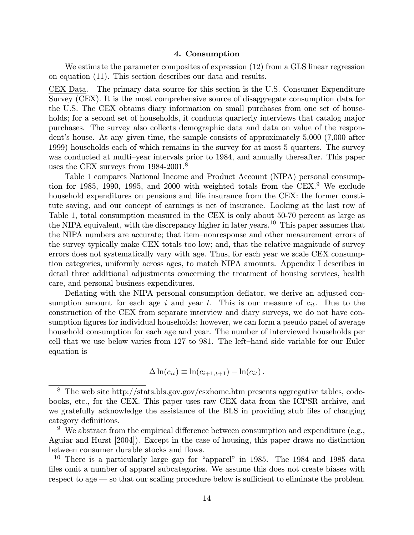#### 4. Consumption

We estimate the parameter composites of expression  $(12)$  from a GLS linear regression on equation (11). This section describes our data and results.

CEX Data. The primary data source for this section is the U.S. Consumer Expenditure Survey (CEX). It is the most comprehensive source of disaggregate consumption data for the U.S. The CEX obtains diary information on small purchases from one set of households; for a second set of households, it conducts quarterly interviews that catalog major purchases. The survey also collects demographic data and data on value of the respondent's house. At any given time, the sample consists of approximately 5,000 (7,000 after 1999) households each of which remains in the survey for at most 5 quarters. The survey was conducted at multi—year intervals prior to 1984, and annually thereafter. This paper uses the CEX surveys from  $1984-2001$ .<sup>8</sup>

Table 1 compares National Income and Product Account (NIPA) personal consumption for 1985, 1990, 1995, and 2000 with weighted totals from the  $CEX$ .<sup>9</sup> We exclude household expenditures on pensions and life insurance from the CEX: the former constitute saving, and our concept of earnings is net of insurance. Looking at the last row of Table 1, total consumption measured in the CEX is only about 50-70 percent as large as the NIPA equivalent, with the discrepancy higher in later years.<sup>10</sup> This paper assumes that the NIPA numbers are accurate; that item—nonresponse and other measurement errors of the survey typically make CEX totals too low; and, that the relative magnitude of survey errors does not systematically vary with age. Thus, for each year we scale CEX consumption categories, uniformly across ages, to match NIPA amounts. Appendix I describes in detail three additional adjustments concerning the treatment of housing services, health care, and personal business expenditures.

Deflating with the NIPA personal consumption deflator, we derive an adjusted consumption amount for each age i and year t. This is our measure of  $c_{it}$ . Due to the construction of the CEX from separate interview and diary surveys, we do not have consumption figures for individual households; however, we can form a pseudo panel of average household consumption for each age and year. The number of interviewed households per cell that we use below varies from 127 to 981. The left—hand side variable for our Euler equation is

$$
\Delta \ln(c_{it}) \equiv \ln(c_{i+1,t+1}) - \ln(c_{it}).
$$

<sup>8</sup> The web site http://stats.bls.gov.gov/csxhome.htm presents aggregative tables, codebooks, etc., for the CEX. This paper uses raw CEX data from the ICPSR archive, and we gratefully acknowledge the assistance of the BLS in providing stub files of changing category definitions.

 $9\text{ }\text{We abstract from the empirical difference between consumption and expenditure (e.g., }$ Aguiar and Hurst [2004]). Except in the case of housing, this paper draws no distinction between consumer durable stocks and flows.

<sup>&</sup>lt;sup>10</sup> There is a particularly large gap for "apparel" in 1985. The 1984 and 1985 data files omit a number of apparel subcategories. We assume this does not create biases with respect to age – so that our scaling procedure below is sufficient to eliminate the problem.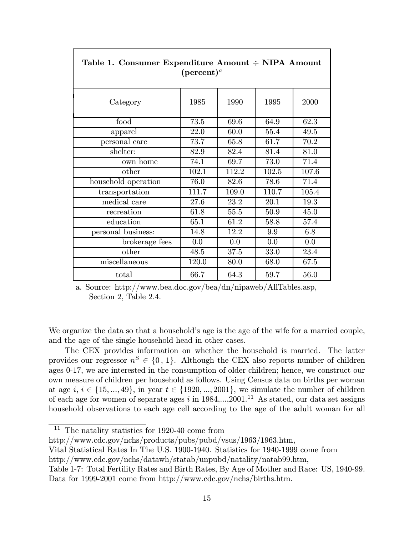| $(\text{percent})^a$ |       |       |       |       |
|----------------------|-------|-------|-------|-------|
| Category             | 1985  | 1990  | 1995  | 2000  |
| food                 | 73.5  | 69.6  | 64.9  | 62.3  |
| apparel              | 22.0  | 60.0  | 55.4  | 49.5  |
| personal care        | 73.7  | 65.8  | 61.7  | 70.2  |
| shelter:             | 82.9  | 82.4  | 81.4  | 81.0  |
| own home             | 74.1  | 69.7  | 73.0  | 71.4  |
| other                | 102.1 | 112.2 | 102.5 | 107.6 |
| household operation  | 76.0  | 82.6  | 78.6  | 71.4  |
| transportation       | 111.7 | 109.0 | 110.7 | 105.4 |
| medical care         | 27.6  | 23.2  | 20.1  | 19.3  |
| recreation           | 61.8  | 55.5  | 50.9  | 45.0  |
| education            | 65.1  | 61.2  | 58.8  | 57.4  |
| personal business:   | 14.8  | 12.2  | 9.9   | 6.8   |
| brokerage fees       | 0.0   | 0.0   | 0.0   | 0.0   |
| other                | 48.5  | 37.5  | 33.0  | 23.4  |
| miscellaneous        | 120.0 | 80.0  | 68.0  | 67.5  |
| total                | 66.7  | 64.3  | 59.7  | 56.0  |

# Table 1. Consumer Expenditure Amount ÷ NIPA Amount

a. Source: http://www.bea.doc.gov/bea/dn/nipaweb/AllTables.asp, Section 2, Table 2.4.

We organize the data so that a household's age is the age of the wife for a married couple, and the age of the single household head in other cases.

The CEX provides information on whether the household is married. The latter provides our regressor  $n^S \in \{0, 1\}$ . Although the CEX also reports number of children ages 0-17, we are interested in the consumption of older children; hence, we construct our own measure of children per household as follows. Using Census data on births per woman at age  $i, i \in \{15, ..., 49\}$ , in year  $t \in \{1920, ..., 2001\}$ , we simulate the number of children of each age for women of separate ages i in  $1984,...,2001$ .<sup>11</sup> As stated, our data set assigns household observations to each age cell according to the age of the adult woman for all

http://www.cdc.gov/nchs/products/pubs/pubd/vsus/1963/1963.htm,

Vital Statistical Rates In The U.S. 1900-1940. Statistics for 1940-1999 come from

http://www.cdc.gov/nchs/datawh/statab/unpubd/natality/natab99.htm,

<sup>11</sup> The natality statistics for 1920-40 come from

Table 1-7: Total Fertility Rates and Birth Rates, By Age of Mother and Race: US, 1940-99. Data for 1999-2001 come from http://www.cdc.gov/nchs/births.htm.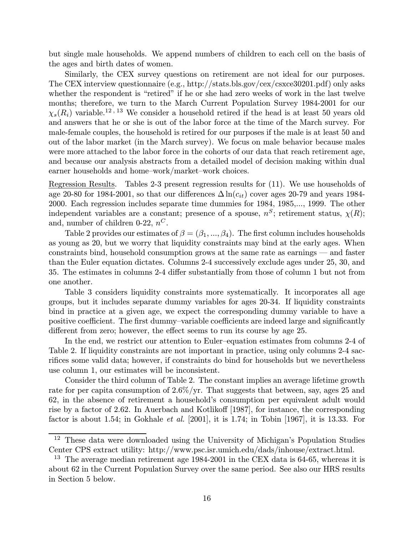but single male households. We append numbers of children to each cell on the basis of the ages and birth dates of women.

Similarly, the CEX survey questions on retirement are not ideal for our purposes. The CEX interview questionnaire (e.g., http://stats.bls.gov/cex/csxce30201.pdf) only asks whether the respondent is "retired" if he or she had zero weeks of work in the last twelve months; therefore, we turn to the March Current Population Survey 1984-2001 for our  $\chi_s(R_i)$  variable.<sup>12, 13</sup> We consider a household retired if the head is at least 50 years old and answers that he or she is out of the labor force at the time of the March survey. For male-female couples, the household is retired for our purposes if the male is at least 50 and out of the labor market (in the March survey). We focus on male behavior because males were more attached to the labor force in the cohorts of our data that reach retirement age, and because our analysis abstracts from a detailed model of decision making within dual earner households and home—work/market—work choices.

Regression Results. Tables 2-3 present regression results for (11). We use households of age 20-80 for 1984-2001, so that our differences  $\Delta \ln(c_{it})$  cover ages 20-79 and years 1984-2000. Each regression includes separate time dummies for 1984, 1985,..., 1999. The other independent variables are a constant; presence of a spouse,  $n<sup>S</sup>$ ; retirement status,  $\chi(R)$ ; and, number of children 0-22,  $n^C$ .

Table 2 provides our estimates of  $\beta = (\beta_1, ..., \beta_4)$ . The first column includes households as young as 20, but we worry that liquidity constraints may bind at the early ages. When constraints bind, household consumption grows at the same rate as earnings – and faster than the Euler equation dictates. Columns 2-4 successively exclude ages under 25, 30, and 35. The estimates in columns 2-4 differ substantially from those of column 1 but not from one another.

Table 3 considers liquidity constraints more systematically. It incorporates all age groups, but it includes separate dummy variables for ages 20-34. If liquidity constraints bind in practice at a given age, we expect the corresponding dummy variable to have a positive coefficient. The first dummy—variable coefficients are indeed large and significantly different from zero; however, the effect seems to run its course by age 25.

In the end, we restrict our attention to Euler—equation estimates from columns 2-4 of Table 2. If liquidity constraints are not important in practice, using only columns 2-4 sacrifices some valid data; however, if constraints do bind for households but we nevertheless use column 1, our estimates will be inconsistent.

Consider the third column of Table 2. The constant implies an average lifetime growth rate for per capita consumption of 2.6%/yr. That suggests that between, say, ages 25 and 62, in the absence of retirement a household's consumption per equivalent adult would rise by a factor of 2.62. In Auerbach and Kotlikoff [1987], for instance, the corresponding factor is about 1.54; in Gokhale et al. [2001], it is 1.74; in Tobin [1967], it is 13.33. For

<sup>12</sup> These data were downloaded using the University of Michigan's Population Studies Center CPS extract utility: http://www.psc.isr.umich.edu/dads/inhouse/extract.html.

 $13$  The average median retirement age 1984-2001 in the CEX data is 64-65, whereas it is about 62 in the Current Population Survey over the same period. See also our HRS results in Section 5 below.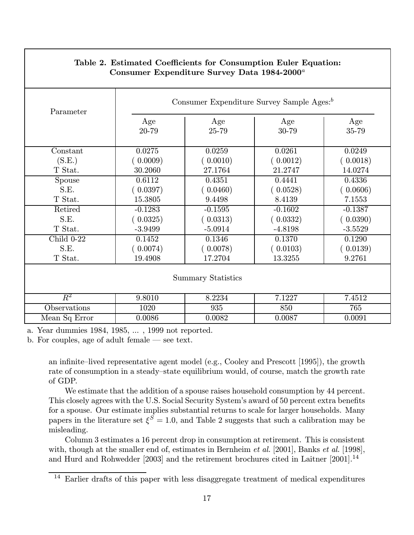| Parameter                 | Consumer Expenditure Survey Sample Ages: <sup>b</sup> |              |              |              |  |
|---------------------------|-------------------------------------------------------|--------------|--------------|--------------|--|
|                           | Age<br>20-79                                          | Age<br>25-79 | Age<br>30-79 | Age<br>35-79 |  |
| Constant                  | 0.0275                                                | 0.0259       | 0.0261       | 0.0249       |  |
| (S.E.)                    | (0.0009)                                              | (0.0010)     | (0.0012)     | (0.0018)     |  |
| T Stat.                   | 30.2060                                               | 27.1764      | 21.2747      | 14.0274      |  |
| Spouse                    | 0.6112                                                | 0.4351       | 0.4441       | 0.4336       |  |
| S.E.                      | (0.0397)                                              | (0.0460)     | (0.0528)     | (0.0606)     |  |
| T Stat.                   | 15.3805                                               | 9.4498       | 8.4139       | 7.1553       |  |
| Retired                   | $-0.1283$                                             | $-0.1595$    | $-0.1602$    | $-0.1387$    |  |
| S.E.                      | (0.0325)                                              | (0.0313)     | (0.0332)     | (0.0390)     |  |
| T Stat.                   | $-3.9499$                                             | $-5.0914$    | $-4.8198$    | $-3.5529$    |  |
| Child $0-22$              | 0.1452                                                | 0.1346       | 0.1370       | 0.1290       |  |
| S.E.                      | (0.0074)                                              | (0.0078)     | (0.0103)     | (0.0139)     |  |
| T Stat.                   | 19.4908                                               | 17.2704      | 13.3255      | 9.2761       |  |
| <b>Summary Statistics</b> |                                                       |              |              |              |  |
| $R^2$                     | 9.8010                                                | 8.2234       | 7.1227       | 7.4512       |  |
| Observations              | 1020                                                  | 935          | 850          | 765          |  |
| Mean Sq Error             | 0.0086                                                | 0.0082       | 0.0087       | 0.0091       |  |

# Table 2. Estimated Coefficients for Consumption Euler Equation: Consumer Expenditure Survey Data  $1984-2000^a$

a. Year dummies 1984, 1985, ... , 1999 not reported.

b. For couples, age of adult female – see text.

an infinite—lived representative agent model (e.g., Cooley and Prescott [1995]), the growth rate of consumption in a steady—state equilibrium would, of course, match the growth rate of GDP.

We estimate that the addition of a spouse raises household consumption by 44 percent. This closely agrees with the U.S. Social Security System's award of 50 percent extra benefits for a spouse. Our estimate implies substantial returns to scale for larger households. Many papers in the literature set  $\xi^{\tilde{S}} = 1.0$ , and Table 2 suggests that such a calibration may be misleading.

Column 3 estimates a 16 percent drop in consumption at retirement. This is consistent with, though at the smaller end of, estimates in Bernheim *et al.* [2001], Banks *et al.* [1998], and Hurd and Rohwedder [2003] and the retirement brochures cited in Laitner [2001].<sup>14</sup>

<sup>&</sup>lt;sup>14</sup> Earlier drafts of this paper with less disaggregate treatment of medical expenditures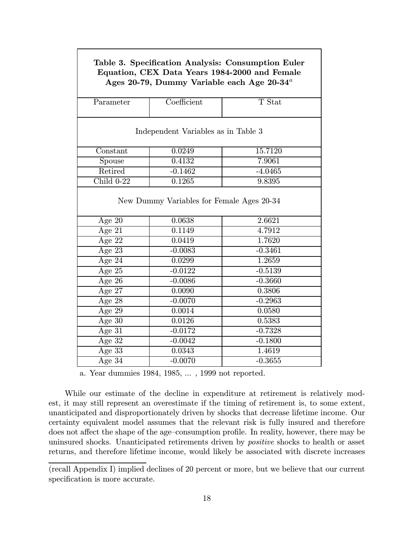| Table 3. Specification Analysis: Consumption Euler<br>Equation, CEX Data Years 1984-2000 and Female<br>Ages 20-79, Dummy Variable each Age $20-34^{\circ}$ |                                           |           |  |  |  |  |
|------------------------------------------------------------------------------------------------------------------------------------------------------------|-------------------------------------------|-----------|--|--|--|--|
| Parameter                                                                                                                                                  | Coefficient                               | T Stat    |  |  |  |  |
|                                                                                                                                                            | Independent Variables as in Table 3       |           |  |  |  |  |
| Constant                                                                                                                                                   | 0.0249                                    | 15.7120   |  |  |  |  |
| Spouse                                                                                                                                                     | 0.4132                                    | 7.9061    |  |  |  |  |
| Retired                                                                                                                                                    | $-0.1462$                                 | $-4.0465$ |  |  |  |  |
| Child $0-22$                                                                                                                                               | 0.1265                                    | 9.8395    |  |  |  |  |
|                                                                                                                                                            | New Dummy Variables for Female Ages 20-34 |           |  |  |  |  |
| Age $20$                                                                                                                                                   | 0.0638                                    | 2.6621    |  |  |  |  |
| Age $21$                                                                                                                                                   | 0.1149                                    | 4.7912    |  |  |  |  |
| Age $22$                                                                                                                                                   | 0.0419                                    | 1.7620    |  |  |  |  |
| Age $23$                                                                                                                                                   | $-0.0083$                                 | $-0.3461$ |  |  |  |  |
| Age $24$                                                                                                                                                   | 0.0299                                    | 1.2659    |  |  |  |  |
| Age 25                                                                                                                                                     | $-0.0122$                                 | $-0.5139$ |  |  |  |  |
| $\overline{\text{Age}} 26$                                                                                                                                 | $-0.0086$                                 | $-0.3660$ |  |  |  |  |
| Age 27                                                                                                                                                     | 0.0090                                    | 0.3806    |  |  |  |  |
| Age $28$                                                                                                                                                   | $-0.0070$                                 | $-0.2963$ |  |  |  |  |
| Age $29$                                                                                                                                                   | 0.0014                                    | 0.0580    |  |  |  |  |
| Age $30$                                                                                                                                                   | 0.0126                                    | 0.5383    |  |  |  |  |
| Age $31$                                                                                                                                                   | $-0.0172$                                 | $-0.7328$ |  |  |  |  |
| Age $32$                                                                                                                                                   | $-0.0042$                                 | $-0.1800$ |  |  |  |  |
| Age 33                                                                                                                                                     | 0.0343                                    | 1.4619    |  |  |  |  |
| Age $34$                                                                                                                                                   | $-0.0070$                                 | $-0.3655$ |  |  |  |  |

a. Year dummies 1984, 1985, ... , 1999 not reported.

While our estimate of the decline in expenditure at retirement is relatively modest, it may still represent an overestimate if the timing of retirement is, to some extent, unanticipated and disproportionately driven by shocks that decrease lifetime income. Our certainty equivalent model assumes that the relevant risk is fully insured and therefore does not affect the shape of the age—consumption profile. In reality, however, there may be uninsured shocks. Unanticipated retirements driven by positive shocks to health or asset returns, and therefore lifetime income, would likely be associated with discrete increases

<sup>(</sup>recall Appendix I) implied declines of 20 percent or more, but we believe that our current specification is more accurate.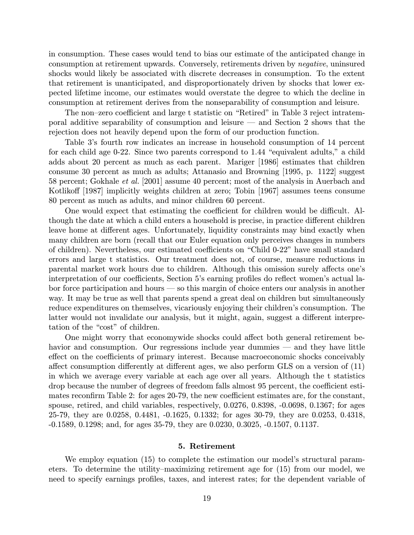in consumption. These cases would tend to bias our estimate of the anticipated change in consumption at retirement upwards. Conversely, retirements driven by negative, uninsured shocks would likely be associated with discrete decreases in consumption. To the extent that retirement is unanticipated, and disproportionately driven by shocks that lower expected lifetime income, our estimates would overstate the degree to which the decline in consumption at retirement derives from the nonseparability of consumption and leisure.

The non—zero coefficient and large t statistic on "Retired" in Table 3 reject intratemporal additive separability of consumption and leisure – and Section 2 shows that the rejection does not heavily depend upon the form of our production function.

Table 3's fourth row indicates an increase in household consumption of 14 percent for each child age 0-22. Since two parents correspond to 1.44 "equivalent adults," a child adds about 20 percent as much as each parent. Mariger [1986] estimates that children consume 30 percent as much as adults; Attanasio and Browning [1995, p. 1122] suggest 58 percent; Gokhale et al. [2001] assume 40 percent; most of the analysis in Auerbach and Kotlikoff (1987) implicitly weights children at zero; Tobin (1967) assumes teens consume 80 percent as much as adults, and minor children 60 percent.

One would expect that estimating the coefficient for children would be difficult. Although the date at which a child enters a household is precise, in practice different children leave home at different ages. Unfortunately, liquidity constraints may bind exactly when many children are born (recall that our Euler equation only perceives changes in numbers of children). Nevertheless, our estimated coefficients on "Child 0-22" have small standard errors and large t statistics. Our treatment does not, of course, measure reductions in parental market work hours due to children. Although this omission surely affects one's interpretation of our coefficients, Section 5's earning profiles do reflect women's actual labor force participation and hours – so this margin of choice enters our analysis in another way. It may be true as well that parents spend a great deal on children but simultaneously reduce expenditures on themselves, vicariously enjoying their children's consumption. The latter would not invalidate our analysis, but it might, again, suggest a different interpretation of the "cost" of children.

One might worry that economywide shocks could affect both general retirement behavior and consumption. Our regressions include year dummies — and they have little effect on the coefficients of primary interest. Because macroeconomic shocks conceivably affect consumption differently at different ages, we also perform GLS on a version of (11) in which we average every variable at each age over all years. Although the t statistics drop because the number of degrees of freedom falls almost 95 percent, the coefficient estimates reconfirm Table 2: for ages 20-79, the new coefficient estimates are, for the constant, spouse, retired, and child variables, respectively, 0.0276, 0.8398, -0.0698, 0.1367; for ages 25-79, they are 0.0258, 0.4481, -0.1625, 0.1332; for ages 30-79, they are 0.0253, 0.4318, -0.1589, 0.1298; and, for ages 35-79, they are 0.0230, 0.3025, -0.1507, 0.1137.

# 5. Retirement

We employ equation (15) to complete the estimation our model's structural parameters. To determine the utility—maximizing retirement age for (15) from our model, we need to specify earnings profiles, taxes, and interest rates; for the dependent variable of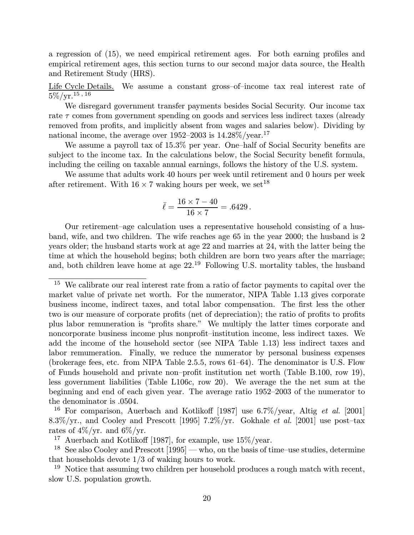a regression of (15), we need empirical retirement ages. For both earning profiles and empirical retirement ages, this section turns to our second major data source, the Health and Retirement Study (HRS).

Life Cycle Details. We assume a constant gross-of-income tax real interest rate of  $5\%/\mathrm{yr.}^{15}$ , 16

We disregard government transfer payments besides Social Security. Our income tax rate  $\tau$  comes from government spending on goods and services less indirect taxes (already removed from profits, and implicitly absent from wages and salaries below). Dividing by national income, the average over  $1952-2003$  is  $14.28\%/year$ .<sup>17</sup>

We assume a payroll tax of 15.3% per year. One-half of Social Security benefits are subject to the income tax. In the calculations below, the Social Security benefit formula, including the ceiling on taxable annual earnings, follows the history of the U.S. system.

We assume that adults work 40 hours per week until retirement and 0 hours per week after retirement. With  $16 \times 7$  waking hours per week, we set <sup>18</sup>

$$
\bar{\ell} = \frac{16 \times 7 - 40}{16 \times 7} = .6429.
$$

Our retirement—age calculation uses a representative household consisting of a husband, wife, and two children. The wife reaches age 65 in the year 2000; the husband is 2 years older; the husband starts work at age 22 and marries at 24, with the latter being the time at which the household begins; both children are born two years after the marriage; and, both children leave home at age  $22^{19}$  Following U.S. mortality tables, the husband

<sup>&</sup>lt;sup>15</sup> We calibrate our real interest rate from a ratio of factor payments to capital over the market value of private net worth. For the numerator, NIPA Table 1.13 gives corporate business income, indirect taxes, and total labor compensation. The first less the other two is our measure of corporate profits (net of depreciation); the ratio of profits to profits plus labor remuneration is "profits share." We multiply the latter times corporate and noncorporate business income plus nonprofit—institution income, less indirect taxes. We add the income of the household sector (see NIPA Table 1.13) less indirect taxes and labor remumeration. Finally, we reduce the numerator by personal business expenses (brokerage fees, etc. from NIPA Table 2.5.5, rows 61—64). The denominator is U.S. Flow of Funds household and private non—profit institution net worth (Table B.100, row 19), less government liabilities (Table L106c, row 20). We average the the net sum at the beginning and end of each given year. The average ratio 1952—2003 of the numerator to the denominator is .0504.

<sup>&</sup>lt;sup>16</sup> For comparison, Auerbach and Kotlikoff [1987] use  $6.7\%$ /year, Altig *et al.* [2001] 8.3%/yr., and Cooley and Prescott [1995] 7.2%/yr. Gokhale et al. [2001] use post-tax rates of  $4\%/yr$ . and  $6\%/yr$ .

<sup>17</sup> Auerbach and Kotlikoff [1987], for example, use 15%/year.

<sup>&</sup>lt;sup>18</sup> See also Cooley and Prescott  $[1995]$  — who, on the basis of time—use studies, determine that households devote 1/3 of waking hours to work.

<sup>&</sup>lt;sup>19</sup> Notice that assuming two children per household produces a rough match with recent, slow U.S. population growth.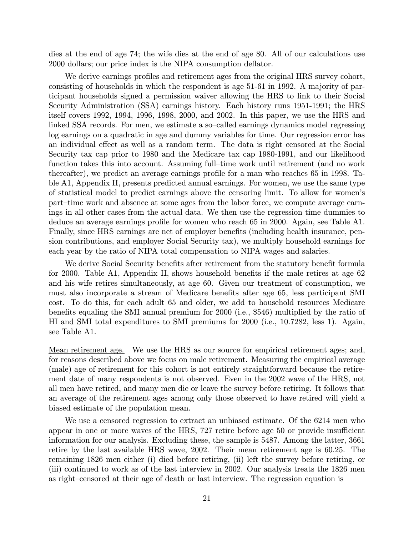dies at the end of age 74; the wife dies at the end of age 80. All of our calculations use 2000 dollars; our price index is the NIPA consumption deflator.

We derive earnings profiles and retirement ages from the original HRS survey cohort, consisting of households in which the respondent is age 51-61 in 1992. A majority of participant households signed a permission waiver allowing the HRS to link to their Social Security Administration (SSA) earnings history. Each history runs 1951-1991; the HRS itself covers 1992, 1994, 1996, 1998, 2000, and 2002. In this paper, we use the HRS and linked SSA records. For men, we estimate a so—called earnings dynamics model regressing log earnings on a quadratic in age and dummy variables for time. Our regression error has an individual effect as well as a random term. The data is right censored at the Social Security tax cap prior to 1980 and the Medicare tax cap 1980-1991, and our likelihood function takes this into account. Assuming full—time work until retirement (and no work thereafter), we predict an average earnings profile for a man who reaches 65 in 1998. Table A1, Appendix II, presents predicted annual earnings. For women, we use the same type of statistical model to predict earnings above the censoring limit. To allow for women's part—time work and absence at some ages from the labor force, we compute average earnings in all other cases from the actual data. We then use the regression time dummies to deduce an average earnings profile for women who reach 65 in 2000. Again, see Table A1. Finally, since HRS earnings are net of employer benefits (including health insurance, pension contributions, and employer Social Security tax), we multiply household earnings for each year by the ratio of NIPA total compensation to NIPA wages and salaries.

We derive Social Security benefits after retirement from the statutory benefit formula for 2000. Table A1, Appendix II, shows household benefits if the male retires at age 62 and his wife retires simultaneously, at age 60. Given our treatment of consumption, we must also incorporate a stream of Medicare benefits after age 65, less participant SMI cost. To do this, for each adult 65 and older, we add to household resources Medicare benefits equaling the SMI annual premium for 2000 (i.e., \$546) multiplied by the ratio of HI and SMI total expenditures to SMI premiums for 2000 (i.e., 10.7282, less 1). Again, see Table A1.

Mean retirement age. We use the HRS as our source for empirical retirement ages; and, for reasons described above we focus on male retirement. Measuring the empirical average (male) age of retirement for this cohort is not entirely straightforward because the retirement date of many respondents is not observed. Even in the 2002 wave of the HRS, not all men have retired, and many men die or leave the survey before retiring. It follows that an average of the retirement ages among only those observed to have retired will yield a biased estimate of the population mean.

We use a censored regression to extract an unbiased estimate. Of the 6214 men who appear in one or more waves of the HRS, 727 retire before age 50 or provide insufficient information for our analysis. Excluding these, the sample is 5487. Among the latter, 3661 retire by the last available HRS wave, 2002. Their mean retirement age is 60.25. The remaining 1826 men either (i) died before retiring, (ii) left the survey before retiring, or (iii) continued to work as of the last interview in 2002. Our analysis treats the 1826 men as right—censored at their age of death or last interview. The regression equation is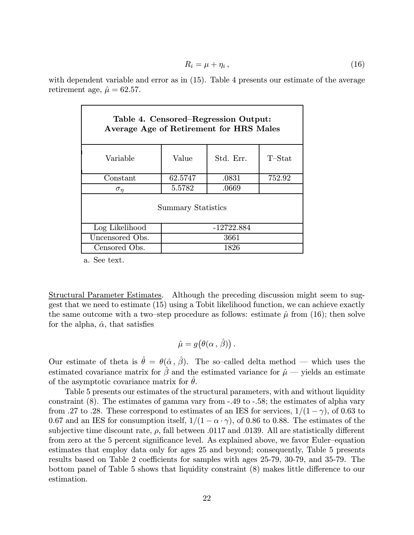$$
R_i = \mu + \eta_i \,, \tag{16}
$$

with dependent variable and error as in (15). Table 4 presents our estimate of the average retirement age,  $\hat{\mu} = 62.57$ .

| Table 4. Censored–Regression Output:<br>Average Age of Retirement for HRS Males |              |       |        |  |  |  |
|---------------------------------------------------------------------------------|--------------|-------|--------|--|--|--|
| Std. Err.<br>$T$ -Stat<br>Value<br>Variable                                     |              |       |        |  |  |  |
| Constant                                                                        | 62.5747      | .0831 | 752.92 |  |  |  |
| $\sigma_{\eta}$                                                                 | 5.5782       | .0669 |        |  |  |  |
| <b>Summary Statistics</b>                                                       |              |       |        |  |  |  |
| Log Likelihood                                                                  | $-12722.884$ |       |        |  |  |  |
| Uncensored Obs.<br>3661                                                         |              |       |        |  |  |  |
| Censored Obs.<br>1826                                                           |              |       |        |  |  |  |

a. See text.

Structural Parameter Estimates. Although the preceding discussion might seem to suggest that we need to estimate (15) using a Tobit likelihood function, we can achieve exactly the same outcome with a two-step procedure as follows: estimate  $\hat{\mu}$  from (16); then solve for the alpha,  $\hat{\alpha}$ , that satisfies

$$
\hat{\mu} = g(\theta(\alpha, \hat{\beta})).
$$

Our estimate of theta is  $\hat{\theta} = \theta(\hat{\alpha}, \hat{\beta})$ . The so-called delta method – which uses the estimated covariance matrix for  $\hat{\beta}$  and the estimated variance for  $\hat{\mu}$  – yields an estimate of the asymptotic covariance matrix for  $\theta$ .

Table 5 presents our estimates of the structural parameters, with and without liquidity constraint (8). The estimates of gamma vary from -.49 to -.58; the estimates of alpha vary from .27 to .28. These correspond to estimates of an IES for services,  $1/(1 - \gamma)$ , of 0.63 to 0.67 and an IES for consumption itself,  $1/(1 - \alpha \cdot \gamma)$ , of 0.86 to 0.88. The estimates of the subjective time discount rate,  $\rho$ , fall between .0117 and .0139. All are statistically different from zero at the 5 percent significance level. As explained above, we favor Euler—equation estimates that employ data only for ages 25 and beyond; consequently, Table 5 presents results based on Table 2 coefficients for samples with ages 25-79, 30-79, and 35-79. The bottom panel of Table 5 shows that liquidity constraint (8) makes little difference to our estimation.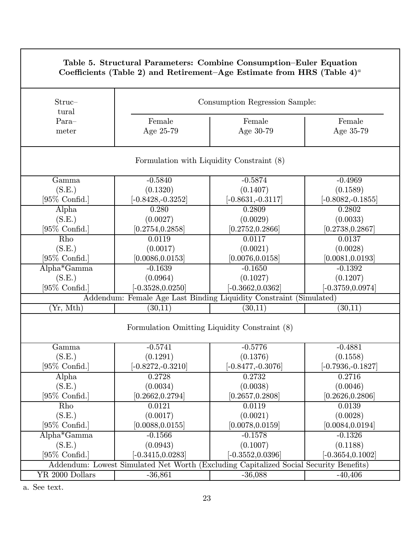| Table 5. Structural Parameters: Combine Consumption–Euler Equation<br>Coefficients (Table 2) and Retirement-Age Estimate from HRS (Table $4)^a$ |                                                                                                    |                                           |                      |  |  |
|-------------------------------------------------------------------------------------------------------------------------------------------------|----------------------------------------------------------------------------------------------------|-------------------------------------------|----------------------|--|--|
| $Struc-$<br>tural                                                                                                                               |                                                                                                    | Consumption Regression Sample:            |                      |  |  |
| Para-                                                                                                                                           | Female                                                                                             | Female                                    | Female               |  |  |
| meter                                                                                                                                           | Age 25-79                                                                                          | Age 30-79                                 | Age 35-79            |  |  |
|                                                                                                                                                 |                                                                                                    | Formulation with Liquidity Constraint (8) |                      |  |  |
| Gamma                                                                                                                                           | $-0.5840$                                                                                          | $-0.5874$                                 | $-0.4969$            |  |  |
| (S.E.)                                                                                                                                          | (0.1320)                                                                                           | (0.1407)                                  | (0.1589)             |  |  |
| $[95\% \text{ Confid.}]$                                                                                                                        | $[-0.8428, -0.3252]$                                                                               | $-0.8631,-0.3117$                         | $[-0.8082, -0.1855]$ |  |  |
| Alpha                                                                                                                                           | 0.280                                                                                              | 0.2809                                    | 0.2802               |  |  |
| (S.E.)                                                                                                                                          | (0.0027)                                                                                           | (0.0029)                                  | (0.0033)             |  |  |
| $[95\% \text{ Confid.}]$                                                                                                                        | [0.2754, 0.2858]                                                                                   | [0.2752, 0.2866]                          | [0.2738, 0.2867]     |  |  |
| Rho                                                                                                                                             | 0.0119                                                                                             | 0.0117                                    | 0.0137               |  |  |
| (S.E.)                                                                                                                                          | (0.0017)                                                                                           | (0.0021)                                  | (0.0028)             |  |  |
| $[95\%$ Confid.]                                                                                                                                | $\left[0.0086,\!0.0153\right]$                                                                     | [0.0076, 0.0158]                          | [0.0081, 0.0193]     |  |  |
| Alpha*Gamma                                                                                                                                     | $-0.1639$                                                                                          | $-0.1650$                                 | $-0.1392$            |  |  |
| (S.E.)                                                                                                                                          | (0.0964)                                                                                           | (0.1027)                                  | (0.1207)             |  |  |
| $[95\% \; \text{Confid.}]$                                                                                                                      | $[-0.3528, 0.0250]$                                                                                | $[-0.3662, 0.0362]$                       | $[-0.3759,\!0.0974]$ |  |  |
| (Yr, Mth)                                                                                                                                       | Addendum: Female Age Last Binding Liquidity Constraint (Simulated)<br>(30, 11)                     | (30, 11)                                  | (30, 11)             |  |  |
|                                                                                                                                                 | Formulation Omitting Liquidity Constraint (8)                                                      |                                           |                      |  |  |
| Gamma                                                                                                                                           | $-0.5741$                                                                                          | $-0.5776$                                 | $-0.4881$            |  |  |
| (S.E.)                                                                                                                                          | (0.1291)                                                                                           | (0.1376)                                  | (0.1558)             |  |  |
| $[95\% \text{ Confid.}]$                                                                                                                        | $[-0.8272, -0.3210]$                                                                               | $[-0.8477,-0.3076]$                       | $[-0.7936,-0.1827]$  |  |  |
| Alpha                                                                                                                                           | 0.2728                                                                                             | 0.2732                                    | 0.2716               |  |  |
| (S.E.)                                                                                                                                          | (0.0034)                                                                                           | (0.0038)                                  | (0.0046)             |  |  |
| $[95\% \text{ Confid.}]$                                                                                                                        | [0.2662, 0.2794]                                                                                   | [0.2657, 0.2808]                          | [0.2626, 0.2806]     |  |  |
| Rho                                                                                                                                             | 0.0121                                                                                             | 0.0119                                    | 0.0139               |  |  |
| (S.E.)                                                                                                                                          | (0.0017)                                                                                           | (0.0021)                                  | (0.0028)             |  |  |
| $[95\% \text{ Confid.}]$                                                                                                                        | $[0.0088,\!0.0155]$                                                                                | [0.0078, 0.0159]                          | [0.0084, 0.0194]     |  |  |
| Alpha*Gamma                                                                                                                                     | $-0.1566$                                                                                          | $-0.1578$                                 | $-0.1326$            |  |  |
| (S.E.)                                                                                                                                          | (0.0943)                                                                                           | (0.1007)                                  | (0.1188)             |  |  |
| $[95\% \text{ Confid.}]$                                                                                                                        | $[-0.3415, 0.0283]$                                                                                | $[-0.3552, 0.0396]$                       | $-0.3654, 0.1002$    |  |  |
| YR 2000 Dollars                                                                                                                                 | Addendum: Lowest Simulated Net Worth (Excluding Capitalized Social Security Benefits)<br>$-36,861$ | $-36,088$                                 | $-40,406$            |  |  |

a. See text.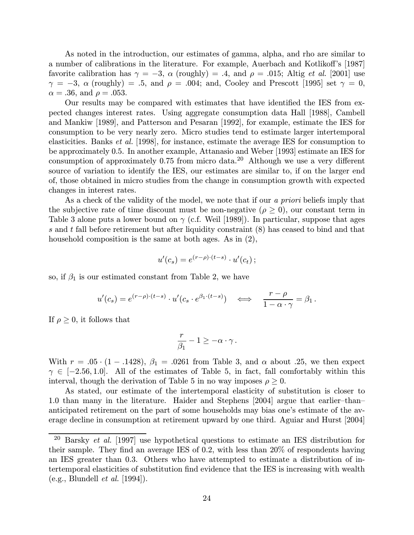As noted in the introduction, our estimates of gamma, alpha, and rho are similar to a number of calibrations in the literature. For example, Auerbach and Kotlikoff's [1987] favorite calibration has  $\gamma = -3$ ,  $\alpha$  (roughly) = .4, and  $\rho = .015$ ; Altig *et al.* [2001] use  $\gamma = -3$ ,  $\alpha$  (roughly) = .5, and  $\rho = .004$ ; and, Cooley and Prescott [1995] set  $\gamma = 0$ ,  $\alpha = .36$ , and  $\rho = .053$ .

Our results may be compared with estimates that have identified the IES from expected changes interest rates. Using aggregate consumption data Hall [1988], Cambell and Mankiw [1989], and Patterson and Pesaran [1992], for example, estimate the IES for consumption to be very nearly zero. Micro studies tend to estimate larger intertemporal elasticities. Banks et al. [1998], for instance, estimate the average IES for consumption to be approximately 0.5. In another example, Attanasio and Weber [1993] estimate an IES for consumption of approximately 0.75 from micro data.<sup>20</sup> Although we use a very different source of variation to identify the IES, our estimates are similar to, if on the larger end of, those obtained in micro studies from the change in consumption growth with expected changes in interest rates.

As a check of the validity of the model, we note that if our a priori beliefs imply that the subjective rate of time discount must be non-negative ( $\rho \geq 0$ ), our constant term in Table 3 alone puts a lower bound on  $\gamma$  (c.f. Weil [1989]). In particular, suppose that ages s and t fall before retirement but after liquidity constraint  $(8)$  has ceased to bind and that household composition is the same at both ages. As in  $(2)$ ,

$$
u'(c_s) = e^{(r-\rho)\cdot (t-s)} \cdot u'(c_t) \, ;
$$

so, if  $\beta_1$  is our estimated constant from Table 2, we have

$$
u'(c_s) = e^{(r-\rho)\cdot (t-s)} \cdot u'(c_s \cdot e^{\beta_1 \cdot (t-s)}) \quad \Longleftrightarrow \quad \frac{r-\rho}{1-\alpha \cdot \gamma} = \beta_1.
$$

If  $\rho \geq 0$ , it follows that

$$
\frac{r}{\beta_1} - 1 \geq -\alpha \cdot \gamma.
$$

With  $r = .05 \cdot (1 - .1428), \beta_1 = .0261$  from Table 3, and  $\alpha$  about .25, we then expect  $\gamma \in [-2.56, 1.0].$  All of the estimates of Table 5, in fact, fall comfortably within this interval, though the derivation of Table 5 in no way imposes  $\rho \geq 0$ .

As stated, our estimate of the intertemporal elasticity of substitution is closer to 1.0 than many in the literature. Haider and Stephens [2004] argue that earlier—than anticipated retirement on the part of some households may bias one's estimate of the average decline in consumption at retirement upward by one third. Aguiar and Hurst [2004]

<sup>&</sup>lt;sup>20</sup> Barsky *et al.* [1997] use hypothetical questions to estimate an IES distribution for their sample. They find an average IES of 0.2, with less than 20% of respondents having an IES greater than 0.3. Others who have attempted to estimate a distribution of intertemporal elasticities of substitution find evidence that the IES is increasing with wealth  $(e.g., Blundell et al. [1994]).$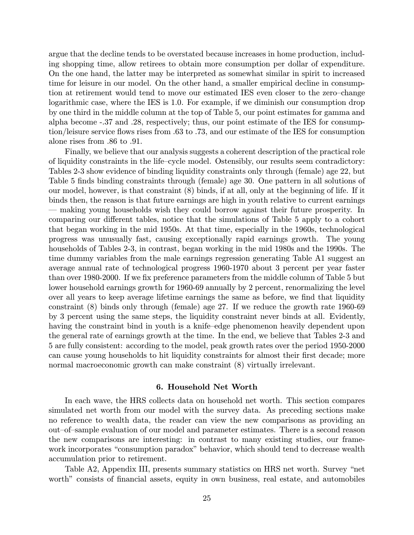argue that the decline tends to be overstated because increases in home production, including shopping time, allow retirees to obtain more consumption per dollar of expenditure. On the one hand, the latter may be interpreted as somewhat similar in spirit to increased time for leisure in our model. On the other hand, a smaller empirical decline in consumption at retirement would tend to move our estimated IES even closer to the zero—change logarithmic case, where the IES is 1.0. For example, if we diminish our consumption drop by one third in the middle column at the top of Table 5, our point estimates for gamma and alpha become -.37 and .28, respectively; thus, our point estimate of the IES for consumption/leisure service flows rises from .63 to .73, and our estimate of the IES for consumption alone rises from .86 to .91.

Finally, we believe that our analysis suggests a coherent description of the practical role of liquidity constraints in the life—cycle model. Ostensibly, our results seem contradictory: Tables 2-3 show evidence of binding liquidity constraints only through (female) age 22, but Table 5 finds binding constraints through (female) age 30. One pattern in all solutions of our model, however, is that constraint (8) binds, if at all, only at the beginning of life. If it binds then, the reason is that future earnings are high in youth relative to current earnings – making young households wish they could borrow against their future prosperity. In comparing our different tables, notice that the simulations of Table 5 apply to a cohort that began working in the mid 1950s. At that time, especially in the 1960s, technological progress was unusually fast, causing exceptionally rapid earnings growth. The young households of Tables 2-3, in contrast, began working in the mid 1980s and the 1990s. The time dummy variables from the male earnings regression generating Table A1 suggest an average annual rate of technological progress 1960-1970 about 3 percent per year faster than over 1980-2000. If we fix preference parameters from the middle column of Table 5 but lower household earnings growth for 1960-69 annually by 2 percent, renormalizing the level over all years to keep average lifetime earnings the same as before, we find that liquidity constraint (8) binds only through (female) age 27. If we reduce the growth rate 1960-69 by 3 percent using the same steps, the liquidity constraint never binds at all. Evidently, having the constraint bind in youth is a knife—edge phenomenon heavily dependent upon the general rate of earnings growth at the time. In the end, we believe that Tables 2-3 and 5 are fully consistent: according to the model, peak growth rates over the period 1950-2000 can cause young households to hit liquidity constraints for almost their first decade; more normal macroeconomic growth can make constraint (8) virtually irrelevant.

#### 6. Household Net Worth

In each wave, the HRS collects data on household net worth. This section compares simulated net worth from our model with the survey data. As preceding sections make no reference to wealth data, the reader can view the new comparisons as providing an out—of—sample evaluation of our model and parameter estimates. There is a second reason the new comparisons are interesting: in contrast to many existing studies, our framework incorporates "consumption paradox" behavior, which should tend to decrease wealth accumulation prior to retirement.

Table A2, Appendix III, presents summary statistics on HRS net worth. Survey "net worth" consists of financial assets, equity in own business, real estate, and automobiles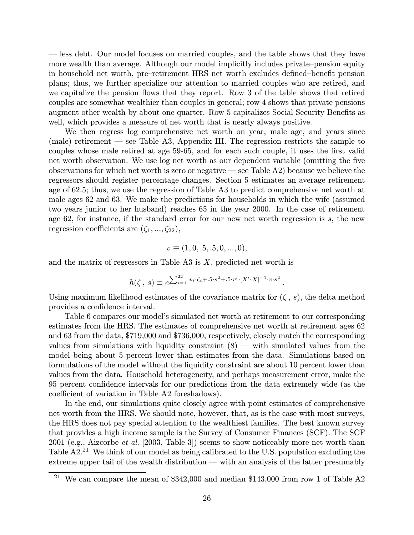– less debt. Our model focuses on married couples, and the table shows that they have more wealth than average. Although our model implicitly includes private—pension equity in household net worth, pre—retirement HRS net worth excludes defined—benefit pension plans; thus, we further specialize our attention to married couples who are retired, and we capitalize the pension flows that they report. Row 3 of the table shows that retired couples are somewhat wealthier than couples in general; row 4 shows that private pensions augment other wealth by about one quarter. Row 5 capitalizes Social Security Benefits as well, which provides a measure of net worth that is nearly always positive.

We then regress log comprehensive net worth on year, male age, and years since (male) retirement – see Table A3, Appendix III. The regression restricts the sample to couples whose male retired at age 59-65, and for each such couple, it uses the first valid net worth observation. We use log net worth as our dependent variable (omitting the five observations for which net worth is zero or negative – see Table A2) because we believe the regressors should register percentage changes. Section 5 estimates an average retirement age of 62.5; thus, we use the regression of Table A3 to predict comprehensive net worth at male ages 62 and 63. We make the predictions for households in which the wife (assumed two years junior to her husband) reaches 65 in the year 2000. In the case of retirement age 62, for instance, if the standard error for our new net worth regression is s, the new regression coefficients are  $(\zeta_1, ..., \zeta_{22}),$ 

$$
v \equiv (1, 0, .5, .5, 0, ..., 0),
$$

and the matrix of regressors in Table A3 is  $X$ , predicted net worth is

$$
h(\zeta, s) \equiv e^{\sum_{i=1}^{22} v_i \cdot \zeta_i + .5 \cdot s^2 + .5 \cdot v' \cdot [X' \cdot X]^{-1} \cdot v \cdot s^2}.
$$

Using maximum likelihood estimates of the covariance matrix for  $(\zeta, s)$ , the delta method provides a confidence interval.

Table 6 compares our model's simulated net worth at retirement to our corresponding estimates from the HRS. The estimates of comprehensive net worth at retirement ages 62 and 63 from the data, \$719,000 and \$736,000, respectively, closely match the corresponding values from simulations with liquidity constraint  $(8)$  — with simulated values from the model being about 5 percent lower than estimates from the data. Simulations based on formulations of the model without the liquidity constraint are about 10 percent lower than values from the data. Household heterogeneity, and perhaps measurement error, make the 95 percent confidence intervals for our predictions from the data extremely wide (as the coefficient of variation in Table A2 foreshadows).

In the end, our simulations quite closely agree with point estimates of comprehensive net worth from the HRS. We should note, however, that, as is the case with most surveys, the HRS does not pay special attention to the wealthiest families. The best known survey that provides a high income sample is the Survey of Consumer Finances (SCF). The SCF 2001 (e.g., Aizcorbe et al. [2003, Table 3]) seems to show noticeably more net worth than Table A2.<sup>21</sup> We think of our model as being calibrated to the U.S. population excluding the extreme upper tail of the wealth distribution – with an analysis of the latter presumably

<sup>&</sup>lt;sup>21</sup> We can compare the mean of \$342,000 and median \$143,000 from row 1 of Table A2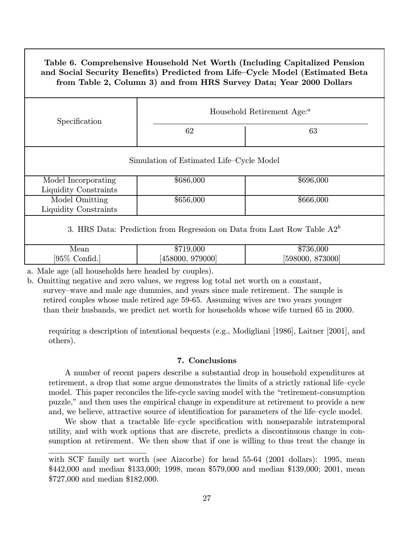# Table 6. Comprehensive Household Net Worth (Including Capitalized Pension and Social Security Benefits) Predicted from Life—Cycle Model (Estimated Beta from Table 2, Column 3) and from HRS Survey Data; Year 2000 Dollars

| Specification                                                              | Household Retirement Age: <sup><i>a</i></sup> |                               |  |  |
|----------------------------------------------------------------------------|-----------------------------------------------|-------------------------------|--|--|
|                                                                            | 62                                            | 63                            |  |  |
| Simulation of Estimated Life–Cycle Model                                   |                                               |                               |  |  |
| Model Incorporating<br>Liquidity Constraints                               | \$686,000                                     | \$696,000                     |  |  |
| Model Omitting<br>Liquidity Constraints                                    | \$656,000                                     | \$666,000                     |  |  |
| 3. HRS Data: Prediction from Regression on Data from Last Row Table $A2^b$ |                                               |                               |  |  |
| Mean<br>$[95\%$ Confid.                                                    | \$719,000<br>[458000, 979000]                 | \$736,000<br>[598000, 873000] |  |  |

a. Male age (all households here headed by couples).

b. Omitting negative and zero values, we regress log total net worth on a constant, survey—wave and male age dummies, and years since male retirement. The sample is retired couples whose male retired age 59-65. Assuming wives are two years younger than their husbands, we predict net worth for households whose wife turned 65 in 2000.

requiring a description of intentional bequests (e.g., Modigliani [1986], Laitner [2001], and others).

# 7. Conclusions

A number of recent papers describe a substantial drop in household expenditures at retirement, a drop that some argue demonstrates the limits of a strictly rational life—cycle model. This paper reconciles the life-cycle saving model with the "retirement-consumption puzzle," and then uses the empirical change in expenditure at retirement to provide a new and, we believe, attractive source of identification for parameters of the life—cycle model.

We show that a tractable life—cycle specification with nonseparable intratemporal utility, and with work options that are discrete, predicts a discontinuous change in consumption at retirement. We then show that if one is willing to thus treat the change in

with SCF family net worth (see Aizcorbe) for head 55-64 (2001 dollars): 1995, mean \$442,000 and median \$133,000; 1998, mean \$579,000 and median \$139,000; 2001, mean \$727,000 and median \$182,000.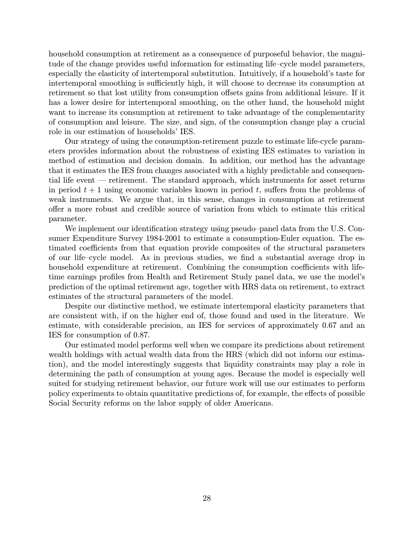household consumption at retirement as a consequence of purposeful behavior, the magnitude of the change provides useful information for estimating life—cycle model parameters, especially the elasticity of intertemporal substitution. Intuitively, if a household's taste for intertemporal smoothing is sufficiently high, it will choose to decrease its consumption at retirement so that lost utility from consumption offsets gains from additional leisure. If it has a lower desire for intertemporal smoothing, on the other hand, the household might want to increase its consumption at retirement to take advantage of the complementarity of consumption and leisure. The size, and sign, of the consumption change play a crucial role in our estimation of households' IES.

Our strategy of using the consumption-retirement puzzle to estimate life-cycle parameters provides information about the robustness of existing IES estimates to variation in method of estimation and decision domain. In addition, our method has the advantage that it estimates the IES from changes associated with a highly predictable and consequential life event – retirement. The standard approach, which instruments for asset returns in period  $t + 1$  using economic variables known in period t, suffers from the problems of weak instruments. We argue that, in this sense, changes in consumption at retirement offer a more robust and credible source of variation from which to estimate this critical parameter.

We implement our identification strategy using pseudo—panel data from the U.S. Consumer Expenditure Survey 1984-2001 to estimate a consumption-Euler equation. The estimated coefficients from that equation provide composites of the structural parameters of our life—cycle model. As in previous studies, we find a substantial average drop in household expenditure at retirement. Combining the consumption coefficients with lifetime earnings profiles from Health and Retirement Study panel data, we use the model's prediction of the optimal retirement age, together with HRS data on retirement, to extract estimates of the structural parameters of the model.

Despite our distinctive method, we estimate intertemporal elasticity parameters that are consistent with, if on the higher end of, those found and used in the literature. We estimate, with considerable precision, an IES for services of approximately 0.67 and an IES for consumption of 0.87.

Our estimated model performs well when we compare its predictions about retirement wealth holdings with actual wealth data from the HRS (which did not inform our estimation), and the model interestingly suggests that liquidity constraints may play a role in determining the path of consumption at young ages. Because the model is especially well suited for studying retirement behavior, our future work will use our estimates to perform policy experiments to obtain quantitative predictions of, for example, the effects of possible Social Security reforms on the labor supply of older Americans.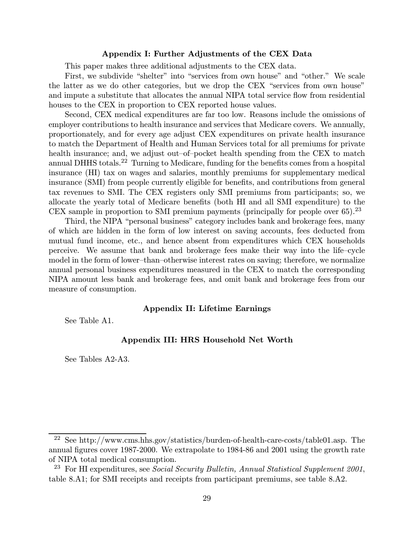#### Appendix I: Further Adjustments of the CEX Data

This paper makes three additional adjustments to the CEX data.

First, we subdivide "shelter" into "services from own house" and "other." We scale the latter as we do other categories, but we drop the CEX "services from own house" and impute a substitute that allocates the annual NIPA total service flow from residential houses to the CEX in proportion to CEX reported house values.

Second, CEX medical expenditures are far too low. Reasons include the omissions of employer contributions to health insurance and services that Medicare covers. We annually, proportionately, and for every age adjust CEX expenditures on private health insurance to match the Department of Health and Human Services total for all premiums for private health insurance; and, we adjust out-of-pocket health spending from the CEX to match annual DHHS totals.<sup>22</sup> Turning to Medicare, funding for the benefits comes from a hospital insurance (HI) tax on wages and salaries, monthly premiums for supplementary medical insurance (SMI) from people currently eligible for benefits, and contributions from general tax revenues to SMI. The CEX registers only SMI premiums from participants; so, we allocate the yearly total of Medicare benefits (both HI and all SMI expenditure) to the CEX sample in proportion to SMI premium payments (principally for people over  $65$ ).<sup>23</sup>

Third, the NIPA "personal business" category includes bank and brokerage fees, many of which are hidden in the form of low interest on saving accounts, fees deducted from mutual fund income, etc., and hence absent from expenditures which CEX households perceive. We assume that bank and brokerage fees make their way into the life—cycle model in the form of lower—than—otherwise interest rates on saving; therefore, we normalize annual personal business expenditures measured in the CEX to match the corresponding NIPA amount less bank and brokerage fees, and omit bank and brokerage fees from our measure of consumption.

## Appendix II: Lifetime Earnings

See Table A1.

## Appendix III: HRS Household Net Worth

See Tables A2-A3.

<sup>22</sup> See http://www.cms.hhs.gov/statistics/burden-of-health-care-costs/table01.asp. The annual figures cover 1987-2000. We extrapolate to 1984-86 and 2001 using the growth rate of NIPA total medical consumption.

<sup>&</sup>lt;sup>23</sup> For HI expenditures, see *Social Security Bulletin, Annual Statistical Supplement 2001*, table 8.A1; for SMI receipts and receipts from participant premiums, see table 8.A2.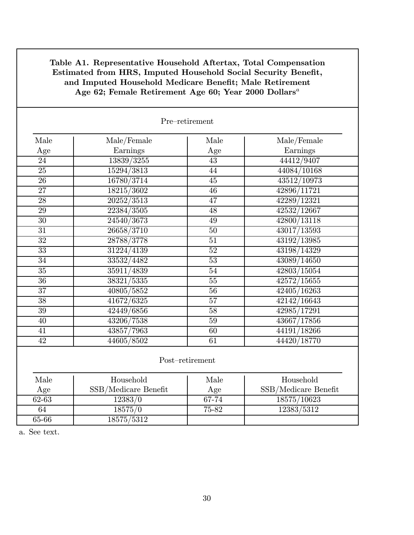| Pre-retirement  |                         |                 |                      |  |
|-----------------|-------------------------|-----------------|----------------------|--|
| Male            | Male/Female             | Male            | Male/Female          |  |
| Age             | Earnings                | Age             | Earnings             |  |
| 24              | 13839/3255              | 43              | 44412/9407           |  |
| $\overline{25}$ | 15294/3813              | 44              | 44084/10168          |  |
| 26              | 16780/3714              | $\overline{45}$ | 43512/10973          |  |
| $\overline{27}$ | $182\overline{15/3602}$ | $\overline{46}$ | 42896/11721          |  |
| $\overline{28}$ | 20252/3513              | 47              | 42289/12321          |  |
| 29              | 22384/3505              | 48              | 42532/12667          |  |
| $\overline{30}$ | 24540/3673              | 49              | 42800/13118          |  |
| 31              | 26658/3710              | $\overline{50}$ | 43017/13593          |  |
| $\overline{32}$ | 28788/3778              | $\overline{51}$ | 43192/13985          |  |
| $\overline{33}$ | 31224/4139              | $\overline{52}$ | 43198/14329          |  |
| $\overline{34}$ | 33532/4482              | $\overline{53}$ | 43089/14650          |  |
| $\overline{35}$ | 35911/4839              | 54              | 42803/15054          |  |
| $\overline{36}$ | 38321/5335              | $\overline{55}$ | 42572/15655          |  |
| $\overline{37}$ | 40805/5852              | $\overline{56}$ | 42405/16263          |  |
| $\overline{38}$ | 41672/6325              | $\overline{57}$ | 42142/16643          |  |
| $\overline{39}$ | 42449/6856              | $\overline{58}$ | 42985/17291          |  |
| 40              | 43206/7538              | $\overline{59}$ | 43667/17856          |  |
| 41              | 43857/7963              | 60              | 44191/18266          |  |
| $\overline{42}$ | 44605/8502              | $\overline{61}$ | 44420/18770          |  |
| Post-retirement |                         |                 |                      |  |
| Male            | Household               | Male            | Household            |  |
| Age             | SSB/Medicare Benefit    | Age             | SSB/Medicare Benefit |  |
| $62 - 63$       | 12383/0                 | $67 - 74$       | 18575/10623          |  |
| $\overline{64}$ | 18575/0                 | 75-82           | 12383/5312           |  |
| $65 - 66$       | 18575/5312              |                 |                      |  |

# Table A1. Representative Household Aftertax, Total Compensation Estimated from HRS, Imputed Household Social Security Benefit, and Imputed Household Medicare Benefit; Male Retirement Age 62; Female Retirement Age 60; Year 2000 Dollars<sup>a</sup>

a. See text.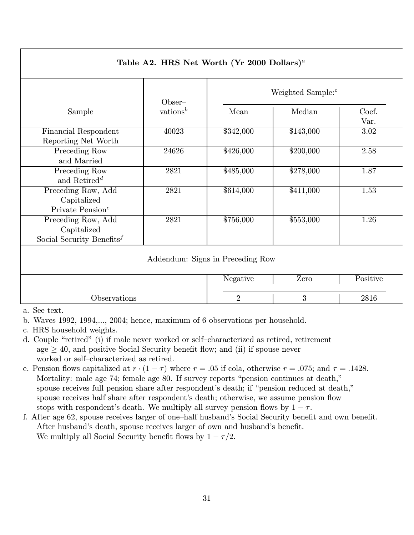| Table A2. HRS Net Worth (Yr 2000 Dollars) <sup>a</sup>             |                      |                      |           |                   |
|--------------------------------------------------------------------|----------------------|----------------------|-----------|-------------------|
|                                                                    | $Obser-$             | Weighted Sample: $c$ |           |                   |
| Sample                                                             | vations <sup>b</sup> | Mean                 | Median    | Coef.<br>Var.     |
| Financial Respondent<br>Reporting Net Worth                        | 40023                | \$342,000            | \$143,000 | 3.02              |
| Preceding Row<br>and Married                                       | 24626                | \$426,000            | \$200,000 | 2.58              |
| Preceding Row<br>and Retired <sup>d</sup>                          | 2821                 | \$485,000            | \$278,000 | 1.87              |
| Preceding Row, Add<br>Capitalized<br>Private Pension <sup>e</sup>  | 2821                 | \$614,000            | \$411,000 | 1.53              |
| Preceding Row, Add<br>Capitalized<br>Social Security Benefits $^f$ | 2821                 | \$756,000            | \$553,000 | $\overline{1.26}$ |
| Addendum: Signs in Preceding Row                                   |                      |                      |           |                   |
|                                                                    |                      | Negative             | Zero      | Positive          |
| Observations                                                       |                      | $\overline{2}$       | 3         | 2816              |

a. See text.

b. Waves 1992, 1994,..., 2004; hence, maximum of 6 observations per household.

- c. HRS household weights.
- d. Couple "retired" (i) if male never worked or self—characterized as retired, retirement age  $> 40$ , and positive Social Security benefit flow; and (ii) if spouse never worked or self—characterized as retired.
- e. Pension flows capitalized at  $r \cdot (1 \tau)$  where  $r = .05$  if cola, otherwise  $r = .075$ ; and  $\tau = .1428$ . Mortality: male age 74; female age 80. If survey reports "pension continues at death," spouse receives full pension share after respondent's death; if "pension reduced at death," spouse receives half share after respondent's death; otherwise, we assume pension flow stops with respondent's death. We multiply all survey pension flows by  $1 - \tau$ .
- f. After age 62, spouse receives larger of one—half husband's Social Security benefit and own benefit. After husband's death, spouse receives larger of own and husband's benefit. We multiply all Social Security benefit flows by  $1 - \tau/2$ .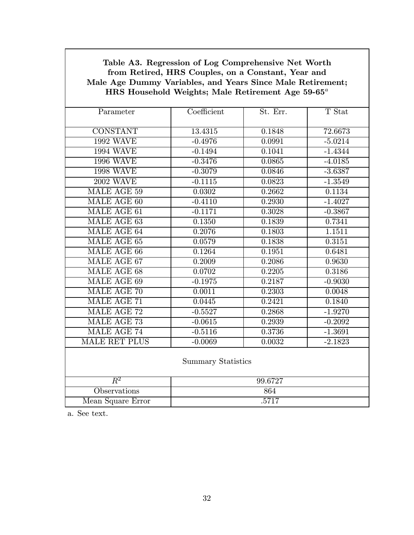| $HRS$ Household Weights; Male Retirement Age 59-65 $^{\circ}$ |             |          |           |  |
|---------------------------------------------------------------|-------------|----------|-----------|--|
| Parameter                                                     | Coefficient | St. Err. | T Stat    |  |
| <b>CONSTANT</b>                                               | 13.4315     | 0.1848   | 72.6673   |  |
| <b>1992 WAVE</b>                                              | $-0.4976$   | 0.0991   | $-5.0214$ |  |
| <b>1994 WAVE</b>                                              | $-0.1494$   | 0.1041   | $-1.4344$ |  |
| <b>1996 WAVE</b>                                              | $-0.3476$   | 0.0865   | $-4.0185$ |  |
| <b>1998 WAVE</b>                                              | $-0.3079$   | 0.0846   | $-3.6387$ |  |
| <b>2002 WAVE</b>                                              | $-0.1115$   | 0.0823   | $-1.3549$ |  |
| MALE AGE 59                                                   | 0.0302      | 0.2662   | 0.1134    |  |
| MALE AGE 60                                                   | $-0.4110$   | 0.2930   | $-1.4027$ |  |
| MALE AGE 61                                                   | $-0.1171$   | 0.3028   | $-0.3867$ |  |
| MALE AGE 63                                                   | 0.1350      | 0.1839   | 0.7341    |  |
| MALE AGE 64                                                   | 0.2076      | 0.1803   | 1.1511    |  |
| MALE AGE 65                                                   | 0.0579      | 0.1838   | 0.3151    |  |
| MALE AGE 66                                                   | 0.1264      | 0.1951   | 0.6481    |  |
| MALE AGE 67                                                   | 0.2009      | 0.2086   | 0.9630    |  |
| <b>MALE AGE 68</b>                                            | 0.0702      | 0.2205   | 0.3186    |  |
| MALE AGE 69                                                   | $-0.1975$   | 0.2187   | $-0.9030$ |  |
| MALE AGE 70                                                   | 0.0011      | 0.2303   | 0.0048    |  |
| MALE AGE 71                                                   | 0.0445      | 0.2421   | 0.1840    |  |
| MALE AGE 72                                                   | $-0.5527$   | 0.2868   | $-1.9270$ |  |
| MALE AGE 73                                                   | $-0.0615$   | 0.2939   | $-0.2092$ |  |
| MALE AGE 74                                                   | $-0.5116$   | 0.3736   | $-1.3691$ |  |
| MALE RET PLUS                                                 | $-0.0069$   | 0.0032   | $-2.1823$ |  |
| <b>Summary Statistics</b>                                     |             |          |           |  |
| $R^2$                                                         | 99.6727     |          |           |  |
| Observations                                                  | 864         |          |           |  |
| Mean Square Error                                             | .5717       |          |           |  |

Table A3. Regression of Log Comprehensive Net Worth from Retired, HRS Couples, on a Constant, Year and Male Age Dummy Variables, and Years Since Male Retirement; HRS Household Weights; Male Retirement Age  $59$ -65<sup>a</sup>

a. See text.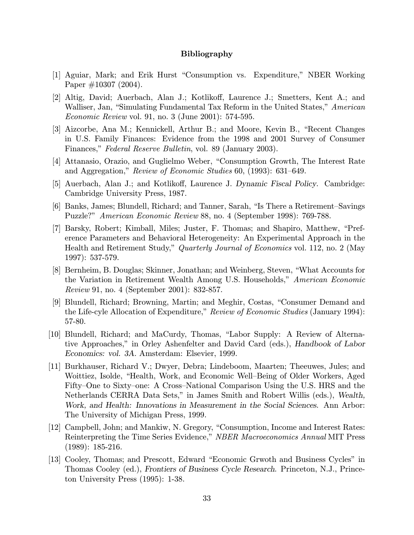## Bibliography

- [1] Aguiar, Mark; and Erik Hurst "Consumption vs. Expenditure," NBER Working Paper #10307 (2004).
- [2] Altig, David; Auerbach, Alan J.; Kotlikoff, Laurence J.; Smetters, Kent A.; and Walliser, Jan, "Simulating Fundamental Tax Reform in the United States," American Economic Review vol. 91, no. 3 (June 2001): 574-595.
- [3] Aizcorbe, Ana M.; Kennickell, Arthur B.; and Moore, Kevin B., "Recent Changes in U.S. Family Finances: Evidence from the 1998 and 2001 Survey of Consumer Finances," *Federal Reserve Bulletin*, vol. 89 (January 2003).
- [4] Attanasio, Orazio, and Guglielmo Weber, "Consumption Growth, The Interest Rate and Aggregation," Review of Economic Studies 60, (1993): 631—649.
- [5] Auerbach, Alan J.; and Kotlikoff, Laurence J. Dynamic Fiscal Policy. Cambridge: Cambridge University Press, 1987.
- [6] Banks, James; Blundell, Richard; and Tanner, Sarah, "Is There a Retirement—Savings Puzzle?" American Economic Review 88, no. 4 (September 1998): 769-788.
- [7] Barsky, Robert; Kimball, Miles; Juster, F. Thomas; and Shapiro, Matthew, "Preference Parameters and Behavioral Heterogeneity: An Experimental Approach in the Health and Retirement Study," *Quarterly Journal of Economics* vol. 112, no. 2 (May 1997): 537-579.
- [8] Bernheim, B. Douglas; Skinner, Jonathan; and Weinberg, Steven, "What Accounts for the Variation in Retirement Wealth Among U.S. Households," American Economic Review 91, no. 4 (September 2001): 832-857.
- [9] Blundell, Richard; Browning, Martin; and Meghir, Costas, "Consumer Demand and the Life-cyle Allocation of Expenditure," Review of Economic Studies (January 1994): 57-80.
- [10] Blundell, Richard; and MaCurdy, Thomas, "Labor Supply: A Review of Alternative Approaches," in Orley Ashenfelter and David Card (eds.), Handbook of Labor Economics: vol. 3A. Amsterdam: Elsevier, 1999.
- [11] Burkhauser, Richard V.; Dwyer, Debra; Lindeboom, Maarten; Theeuwes, Jules; and Woittiez, Isolde, "Health, Work, and Economic Well—Being of Older Workers, Aged Fifty—One to Sixty—one: A Cross—National Comparison Using the U.S. HRS and the Netherlands CERRA Data Sets," in James Smith and Robert Willis (eds.), Wealth, Work, and Health: Innovations in Measurement in the Social Sciences. Ann Arbor: The University of Michigan Press, 1999.
- [12] Campbell, John; and Mankiw, N. Gregory, "Consumption, Income and Interest Rates: Reinterpreting the Time Series Evidence," NBER Macroeconomics Annual MIT Press (1989): 185-216.
- [13] Cooley, Thomas; and Prescott, Edward "Economic Grwoth and Business Cycles" in Thomas Cooley (ed.), Frontiers of Business Cycle Research. Princeton, N.J., Princeton University Press (1995): 1-38.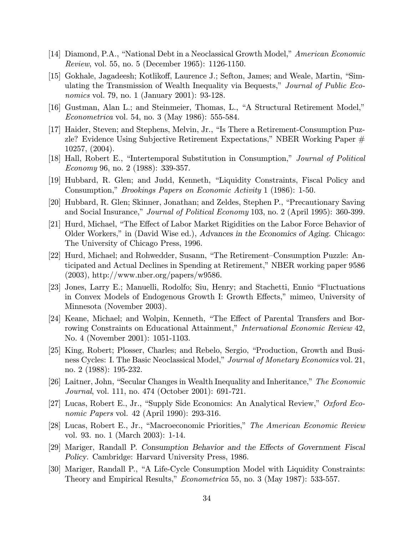- [14] Diamond, P.A., "National Debt in a Neoclassical Growth Model," American Economic Review, vol. 55, no. 5 (December 1965): 1126-1150.
- [15] Gokhale, Jagadeesh; Kotlikoff, Laurence J.; Sefton, James; and Weale, Martin, "Simulating the Transmission of Wealth Inequality via Bequests," Journal of Public Economics vol. 79, no. 1 (January 2001): 93-128.
- [16] Gustman, Alan L.; and Steinmeier, Thomas, L., "A Structural Retirement Model," Econometrica vol. 54, no. 3 (May 1986): 555-584.
- [17] Haider, Steven; and Stephens, Melvin, Jr., "Is There a Retirement-Consumption Puzzle? Evidence Using Subjective Retirement Expectations," NBER Working Paper  $#$ 10257, (2004).
- [18] Hall, Robert E., "Intertemporal Substitution in Consumption," Journal of Political Economy 96, no. 2 (1988): 339-357.
- [19] Hubbard, R. Glen; and Judd, Kenneth, "Liquidity Constraints, Fiscal Policy and Consumption," Brookings Papers on Economic Activity 1 (1986): 1-50.
- [20] Hubbard, R. Glen; Skinner, Jonathan; and Zeldes, Stephen P., "Precautionary Saving and Social Insurance," Journal of Political Economy 103, no. 2 (April 1995): 360-399.
- [21] Hurd, Michael, "The Effect of Labor Market Rigidities on the Labor Force Behavior of Older Workers," in (David Wise ed.), Advances in the Economics of Aging. Chicago: The University of Chicago Press, 1996.
- [22] Hurd, Michael; and Rohwedder, Susann, "The Retirement—Consumption Puzzle: Anticipated and Actual Declines in Spending at Retirement," NBER working paper 9586  $(2003)$ , http://www.nber.org/papers/w9586.
- [23] Jones, Larry E.; Manuelli, Rodolfo; Siu, Henry; and Stachetti, Ennio "Fluctuations in Convex Models of Endogenous Growth I: Growth Effects," mimeo, University of Minnesota (November 2003).
- [24] Keane, Michael; and Wolpin, Kenneth, "The Effect of Parental Transfers and Borrowing Constraints on Educational Attainment," International Economic Review 42, No. 4 (November 2001): 1051-1103.
- [25] King, Robert; Plosser, Charles; and Rebelo, Sergio, "Production, Growth and Business Cycles: I. The Basic Neoclassical Model," *Journal of Monetary Economics* vol. 21, no. 2 (1988): 195-232.
- [26] Laitner, John, "Secular Changes in Wealth Inequality and Inheritance," The Economic Journal, vol. 111, no. 474 (October 2001): 691-721.
- [27] Lucas, Robert E., Jr., "Supply Side Economics: An Analytical Review," Oxford Economic Papers vol. 42 (April 1990): 293-316.
- [28] Lucas, Robert E., Jr., "Macroeconomic Priorities," The American Economic Review vol. 93. no. 1 (March 2003): 1-14.
- [29] Mariger, Randall P. Consumption Behavior and the Effects of Government Fiscal Policy. Cambridge: Harvard University Press, 1986.
- [30] Mariger, Randall P., "A Life-Cycle Consumption Model with Liquidity Constraints: Theory and Empirical Results," *Econometrica* 55, no. 3 (May 1987): 533-557.